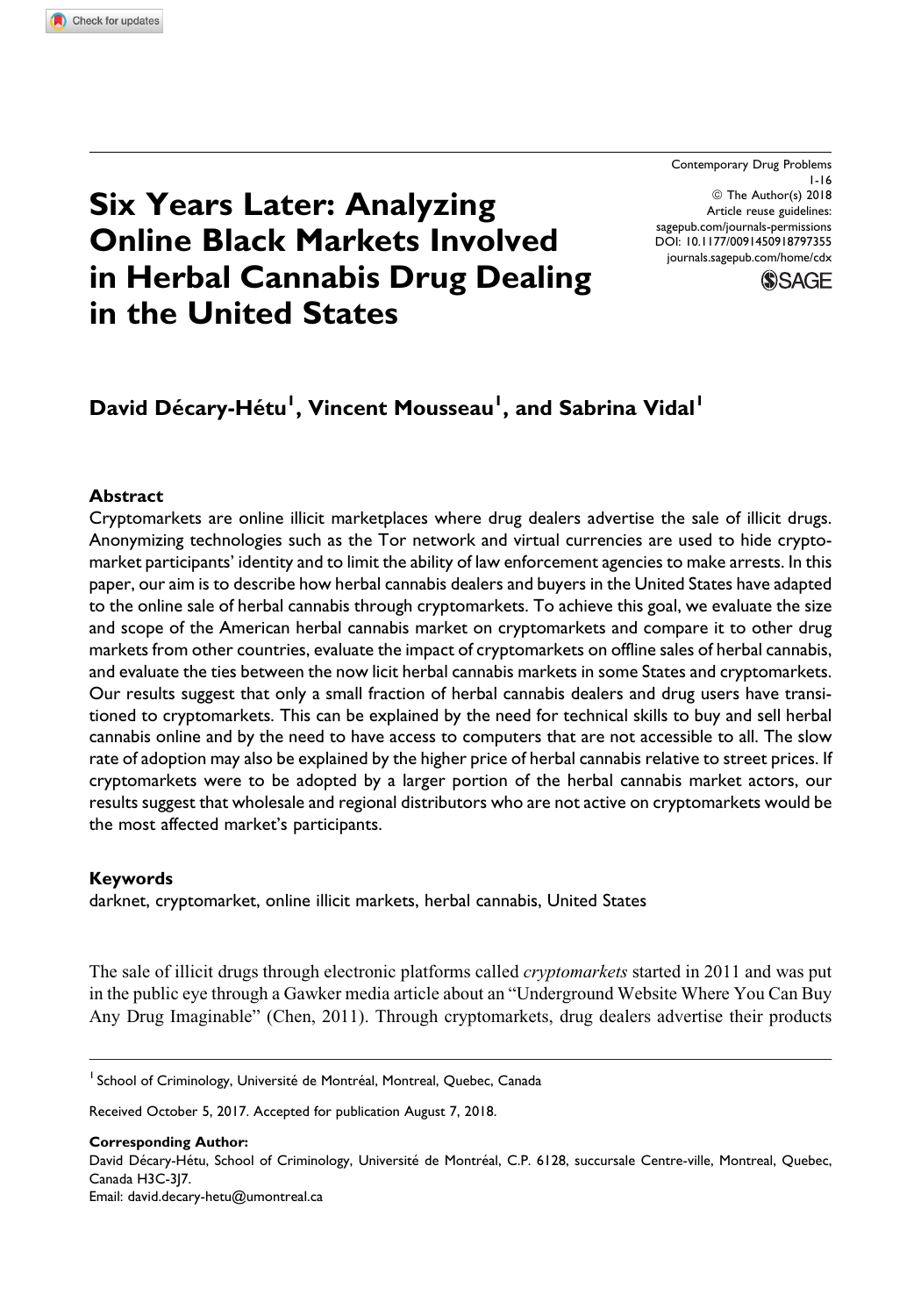Contemporary Drug Problems 1-16 © The Author(s) 2018 Article reuse guidelines: [sagepub.com/journals-permissions](https://sagepub.com/journals-permissions) [DOI: 10.1177/0091450918797355](https://doi.org/10.1177/0091450918797355) [journals.sagepub.com/home/cdx](http://journals.sagepub.com/home/cdx)



# Six Years Later: Analyzing Online Black Markets Involved in Herbal Cannabis Drug Dealing in the United States

# David Décary-Hétu<sup>l</sup>, Vincent Mousseau<sup>l</sup>, and Sabrina Vidal<sup>l</sup>

#### **Abstract**

Cryptomarkets are online illicit marketplaces where drug dealers advertise the sale of illicit drugs. Anonymizing technologies such as the Tor network and virtual currencies are used to hide cryptomarket participants' identity and to limit the ability of law enforcement agencies to make arrests. In this paper, our aim is to describe how herbal cannabis dealers and buyers in the United States have adapted to the online sale of herbal cannabis through cryptomarkets. To achieve this goal, we evaluate the size and scope of the American herbal cannabis market on cryptomarkets and compare it to other drug markets from other countries, evaluate the impact of cryptomarkets on offline sales of herbal cannabis, and evaluate the ties between the now licit herbal cannabis markets in some States and cryptomarkets. Our results suggest that only a small fraction of herbal cannabis dealers and drug users have transitioned to cryptomarkets. This can be explained by the need for technical skills to buy and sell herbal cannabis online and by the need to have access to computers that are not accessible to all. The slow rate of adoption may also be explained by the higher price of herbal cannabis relative to street prices. If cryptomarkets were to be adopted by a larger portion of the herbal cannabis market actors, our results suggest that wholesale and regional distributors who are not active on cryptomarkets would be the most affected market's participants.

#### Keywords

darknet, cryptomarket, online illicit markets, herbal cannabis, United States

The sale of illicit drugs through electronic platforms called *cryptomarkets* started in 2011 and was put in the public eye through a Gawker media article about an "Underground Website Where You Can Buy Any Drug Imaginable" (Chen, 2011). Through cryptomarkets, drug dealers advertise their products

Received October 5, 2017. Accepted for publication August 7, 2018.

Corresponding Author: David Décary-Hétu, School of Criminology, Université de Montréal, C.P. 6128, succursale Centre-ville, Montreal, Quebec, Canada H3C-3J7. Email: [david.decary-hetu@umontreal.ca](mailto:david.decary-hetu@umontreal.ca)

<sup>&</sup>lt;sup>1</sup> School of Criminology, Université de Montréal, Montreal, Quebec, Canada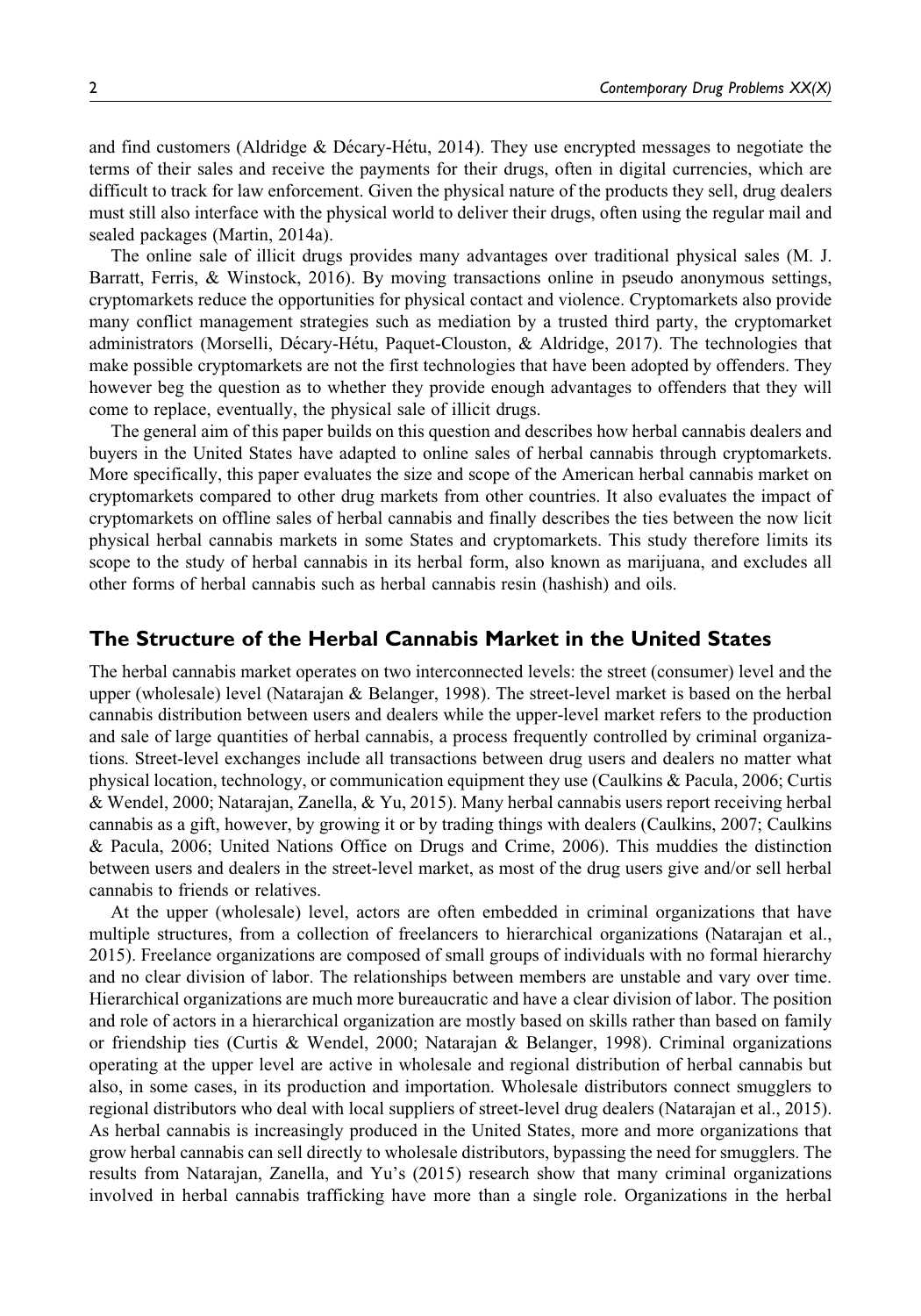and find customers (Aldridge  $&$  Décary-Hétu, 2014). They use encrypted messages to negotiate the terms of their sales and receive the payments for their drugs, often in digital currencies, which are difficult to track for law enforcement. Given the physical nature of the products they sell, drug dealers must still also interface with the physical world to deliver their drugs, often using the regular mail and sealed packages (Martin, 2014a).

The online sale of illicit drugs provides many advantages over traditional physical sales (M. J. Barratt, Ferris, & Winstock, 2016). By moving transactions online in pseudo anonymous settings, cryptomarkets reduce the opportunities for physical contact and violence. Cryptomarkets also provide many conflict management strategies such as mediation by a trusted third party, the cryptomarket administrators (Morselli, Décary-Hétu, Paquet-Clouston, & Aldridge, 2017). The technologies that make possible cryptomarkets are not the first technologies that have been adopted by offenders. They however beg the question as to whether they provide enough advantages to offenders that they will come to replace, eventually, the physical sale of illicit drugs.

The general aim of this paper builds on this question and describes how herbal cannabis dealers and buyers in the United States have adapted to online sales of herbal cannabis through cryptomarkets. More specifically, this paper evaluates the size and scope of the American herbal cannabis market on cryptomarkets compared to other drug markets from other countries. It also evaluates the impact of cryptomarkets on offline sales of herbal cannabis and finally describes the ties between the now licit physical herbal cannabis markets in some States and cryptomarkets. This study therefore limits its scope to the study of herbal cannabis in its herbal form, also known as marijuana, and excludes all other forms of herbal cannabis such as herbal cannabis resin (hashish) and oils.

#### The Structure of the Herbal Cannabis Market in the United States

The herbal cannabis market operates on two interconnected levels: the street (consumer) level and the upper (wholesale) level (Natarajan & Belanger, 1998). The street-level market is based on the herbal cannabis distribution between users and dealers while the upper-level market refers to the production and sale of large quantities of herbal cannabis, a process frequently controlled by criminal organizations. Street-level exchanges include all transactions between drug users and dealers no matter what physical location, technology, or communication equipment they use (Caulkins & Pacula, 2006; Curtis & Wendel, 2000; Natarajan, Zanella, & Yu, 2015). Many herbal cannabis users report receiving herbal cannabis as a gift, however, by growing it or by trading things with dealers (Caulkins, 2007; Caulkins & Pacula, 2006; United Nations Office on Drugs and Crime, 2006). This muddies the distinction between users and dealers in the street-level market, as most of the drug users give and/or sell herbal cannabis to friends or relatives.

At the upper (wholesale) level, actors are often embedded in criminal organizations that have multiple structures, from a collection of freelancers to hierarchical organizations (Natarajan et al., 2015). Freelance organizations are composed of small groups of individuals with no formal hierarchy and no clear division of labor. The relationships between members are unstable and vary over time. Hierarchical organizations are much more bureaucratic and have a clear division of labor. The position and role of actors in a hierarchical organization are mostly based on skills rather than based on family or friendship ties (Curtis & Wendel, 2000; Natarajan & Belanger, 1998). Criminal organizations operating at the upper level are active in wholesale and regional distribution of herbal cannabis but also, in some cases, in its production and importation. Wholesale distributors connect smugglers to regional distributors who deal with local suppliers of street-level drug dealers (Natarajan et al., 2015). As herbal cannabis is increasingly produced in the United States, more and more organizations that grow herbal cannabis can sell directly to wholesale distributors, bypassing the need for smugglers. The results from Natarajan, Zanella, and Yu's (2015) research show that many criminal organizations involved in herbal cannabis trafficking have more than a single role. Organizations in the herbal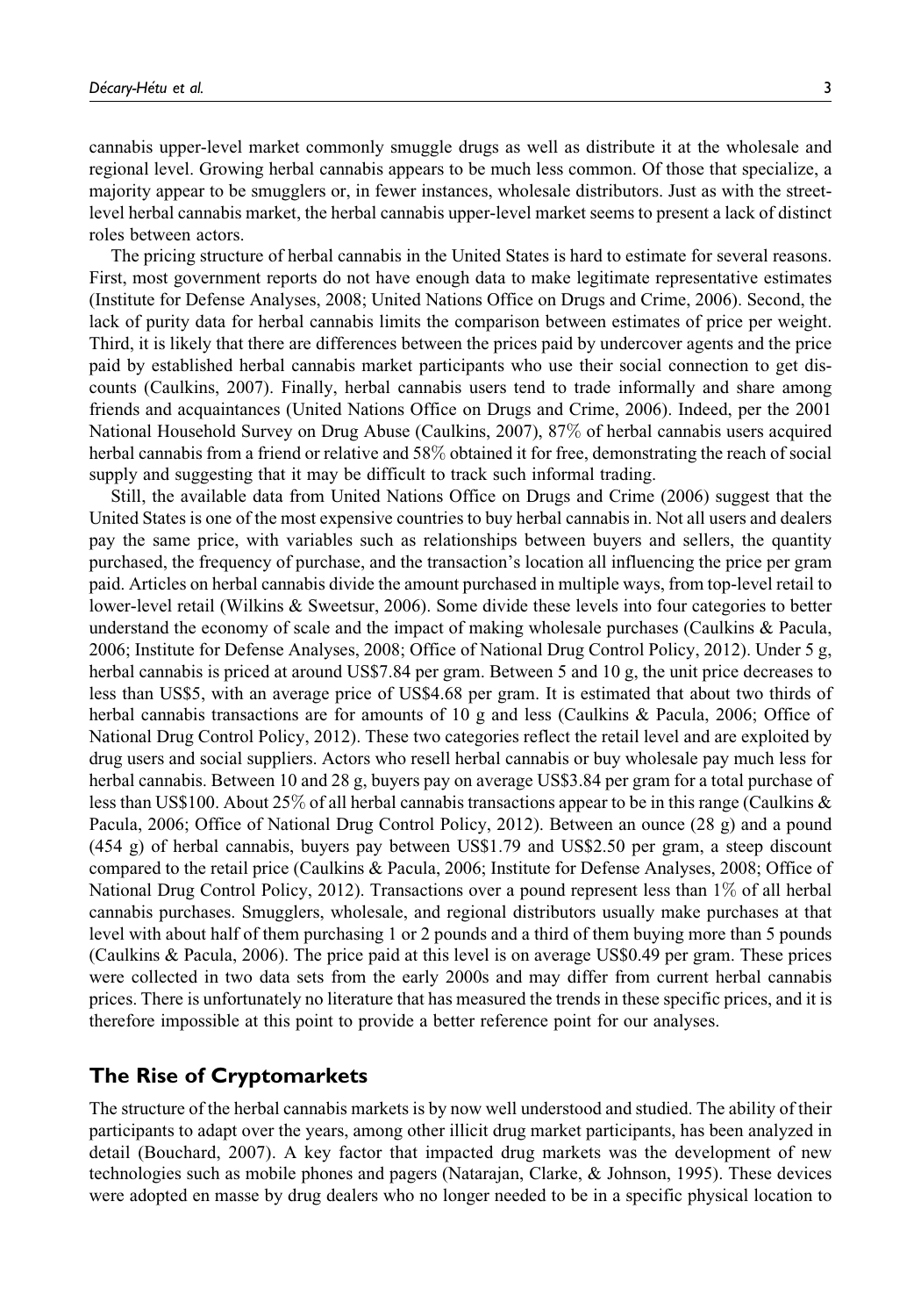cannabis upper-level market commonly smuggle drugs as well as distribute it at the wholesale and regional level. Growing herbal cannabis appears to be much less common. Of those that specialize, a majority appear to be smugglers or, in fewer instances, wholesale distributors. Just as with the streetlevel herbal cannabis market, the herbal cannabis upper-level market seems to present a lack of distinct roles between actors.

The pricing structure of herbal cannabis in the United States is hard to estimate for several reasons. First, most government reports do not have enough data to make legitimate representative estimates (Institute for Defense Analyses, 2008; United Nations Office on Drugs and Crime, 2006). Second, the lack of purity data for herbal cannabis limits the comparison between estimates of price per weight. Third, it is likely that there are differences between the prices paid by undercover agents and the price paid by established herbal cannabis market participants who use their social connection to get discounts (Caulkins, 2007). Finally, herbal cannabis users tend to trade informally and share among friends and acquaintances (United Nations Office on Drugs and Crime, 2006). Indeed, per the 2001 National Household Survey on Drug Abuse (Caulkins, 2007), 87% of herbal cannabis users acquired herbal cannabis from a friend or relative and 58% obtained it for free, demonstrating the reach of social supply and suggesting that it may be difficult to track such informal trading.

Still, the available data from United Nations Office on Drugs and Crime (2006) suggest that the United States is one of the most expensive countries to buy herbal cannabis in. Not all users and dealers pay the same price, with variables such as relationships between buyers and sellers, the quantity purchased, the frequency of purchase, and the transaction's location all influencing the price per gram paid. Articles on herbal cannabis divide the amount purchased in multiple ways, from top-level retail to lower-level retail (Wilkins & Sweetsur, 2006). Some divide these levels into four categories to better understand the economy of scale and the impact of making wholesale purchases (Caulkins & Pacula, 2006; Institute for Defense Analyses, 2008; Office of National Drug Control Policy, 2012). Under 5 g, herbal cannabis is priced at around US\$7.84 per gram. Between 5 and 10 g, the unit price decreases to less than US\$5, with an average price of US\$4.68 per gram. It is estimated that about two thirds of herbal cannabis transactions are for amounts of 10 g and less (Caulkins & Pacula, 2006; Office of National Drug Control Policy, 2012). These two categories reflect the retail level and are exploited by drug users and social suppliers. Actors who resell herbal cannabis or buy wholesale pay much less for herbal cannabis. Between 10 and 28 g, buyers pay on average US\$3.84 per gram for a total purchase of less than US\$100. About 25% of all herbal cannabis transactions appear to be in this range (Caulkins & Pacula, 2006; Office of National Drug Control Policy, 2012). Between an ounce (28 g) and a pound (454 g) of herbal cannabis, buyers pay between US\$1.79 and US\$2.50 per gram, a steep discount compared to the retail price (Caulkins & Pacula, 2006; Institute for Defense Analyses, 2008; Office of National Drug Control Policy, 2012). Transactions over a pound represent less than 1% of all herbal cannabis purchases. Smugglers, wholesale, and regional distributors usually make purchases at that level with about half of them purchasing 1 or 2 pounds and a third of them buying more than 5 pounds (Caulkins & Pacula, 2006). The price paid at this level is on average US\$0.49 per gram. These prices were collected in two data sets from the early 2000s and may differ from current herbal cannabis prices. There is unfortunately no literature that has measured the trends in these specific prices, and it is therefore impossible at this point to provide a better reference point for our analyses.

### The Rise of Cryptomarkets

The structure of the herbal cannabis markets is by now well understood and studied. The ability of their participants to adapt over the years, among other illicit drug market participants, has been analyzed in detail (Bouchard, 2007). A key factor that impacted drug markets was the development of new technologies such as mobile phones and pagers (Natarajan, Clarke, & Johnson, 1995). These devices were adopted en masse by drug dealers who no longer needed to be in a specific physical location to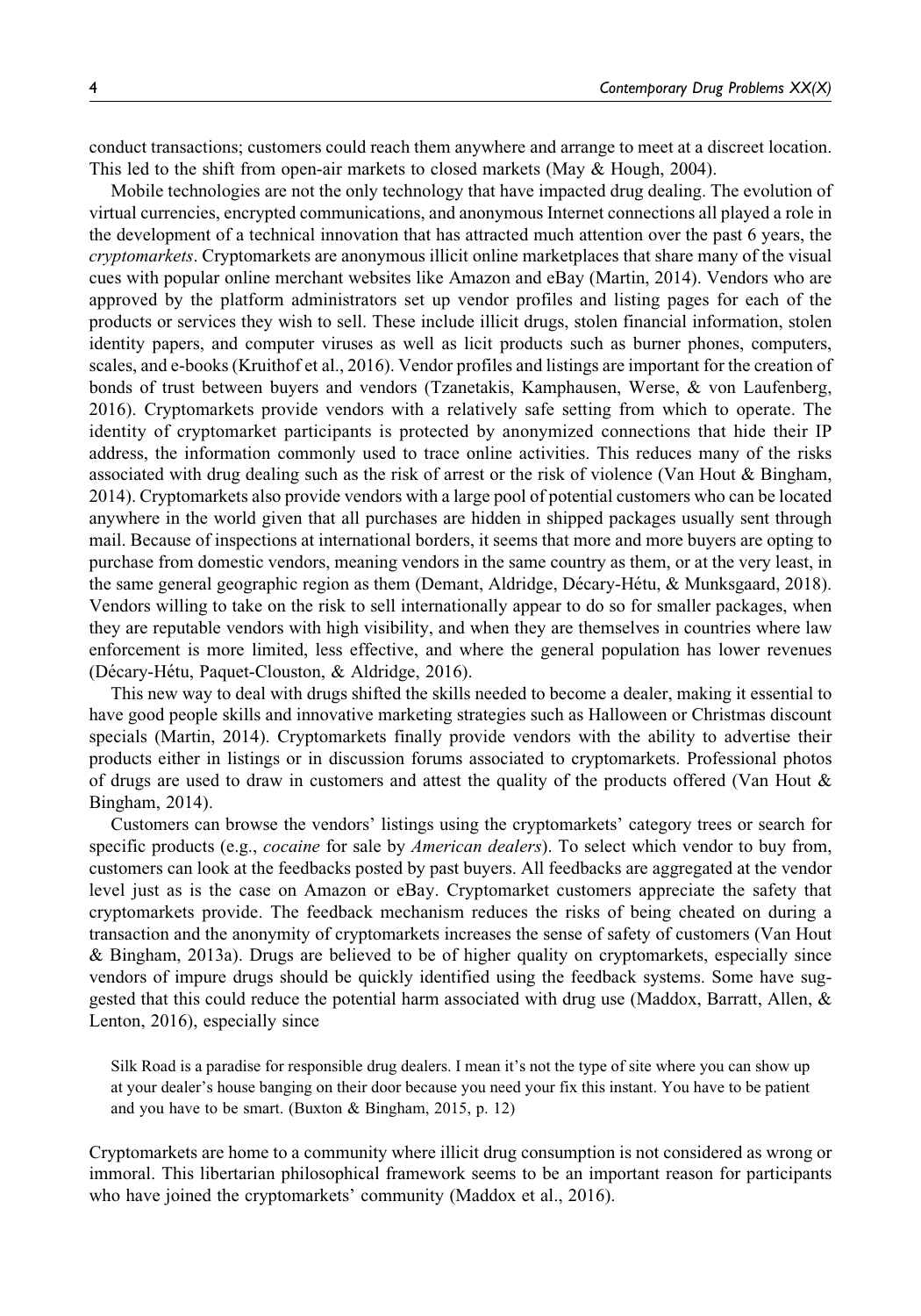conduct transactions; customers could reach them anywhere and arrange to meet at a discreet location. This led to the shift from open-air markets to closed markets (May  $\&$  Hough, 2004).

Mobile technologies are not the only technology that have impacted drug dealing. The evolution of virtual currencies, encrypted communications, and anonymous Internet connections all played a role in the development of a technical innovation that has attracted much attention over the past 6 years, the cryptomarkets. Cryptomarkets are anonymous illicit online marketplaces that share many of the visual cues with popular online merchant websites like Amazon and eBay (Martin, 2014). Vendors who are approved by the platform administrators set up vendor profiles and listing pages for each of the products or services they wish to sell. These include illicit drugs, stolen financial information, stolen identity papers, and computer viruses as well as licit products such as burner phones, computers, scales, and e-books (Kruithof et al., 2016). Vendor profiles and listings are important for the creation of bonds of trust between buyers and vendors (Tzanetakis, Kamphausen, Werse, & von Laufenberg, 2016). Cryptomarkets provide vendors with a relatively safe setting from which to operate. The identity of cryptomarket participants is protected by anonymized connections that hide their IP address, the information commonly used to trace online activities. This reduces many of the risks associated with drug dealing such as the risk of arrest or the risk of violence (Van Hout & Bingham, 2014). Cryptomarkets also provide vendors with a large pool of potential customers who can be located anywhere in the world given that all purchases are hidden in shipped packages usually sent through mail. Because of inspections at international borders, it seems that more and more buyers are opting to purchase from domestic vendors, meaning vendors in the same country as them, or at the very least, in the same general geographic region as them (Demant, Aldridge, Décary-Hétu, & Munksgaard, 2018). Vendors willing to take on the risk to sell internationally appear to do so for smaller packages, when they are reputable vendors with high visibility, and when they are themselves in countries where law enforcement is more limited, less effective, and where the general population has lower revenues (Décary-Hétu, Paquet-Clouston, & Aldridge, 2016).

This new way to deal with drugs shifted the skills needed to become a dealer, making it essential to have good people skills and innovative marketing strategies such as Halloween or Christmas discount specials (Martin, 2014). Cryptomarkets finally provide vendors with the ability to advertise their products either in listings or in discussion forums associated to cryptomarkets. Professional photos of drugs are used to draw in customers and attest the quality of the products offered (Van Hout & Bingham, 2014).

Customers can browse the vendors' listings using the cryptomarkets' category trees or search for specific products (e.g., *cocaine* for sale by *American dealers*). To select which vendor to buy from, customers can look at the feedbacks posted by past buyers. All feedbacks are aggregated at the vendor level just as is the case on Amazon or eBay. Cryptomarket customers appreciate the safety that cryptomarkets provide. The feedback mechanism reduces the risks of being cheated on during a transaction and the anonymity of cryptomarkets increases the sense of safety of customers (Van Hout & Bingham, 2013a). Drugs are believed to be of higher quality on cryptomarkets, especially since vendors of impure drugs should be quickly identified using the feedback systems. Some have suggested that this could reduce the potential harm associated with drug use (Maddox, Barratt, Allen, & Lenton, 2016), especially since

Silk Road is a paradise for responsible drug dealers. I mean it's not the type of site where you can show up at your dealer's house banging on their door because you need your fix this instant. You have to be patient and you have to be smart. (Buxton & Bingham, 2015, p. 12)

Cryptomarkets are home to a community where illicit drug consumption is not considered as wrong or immoral. This libertarian philosophical framework seems to be an important reason for participants who have joined the cryptomarkets' community (Maddox et al., 2016).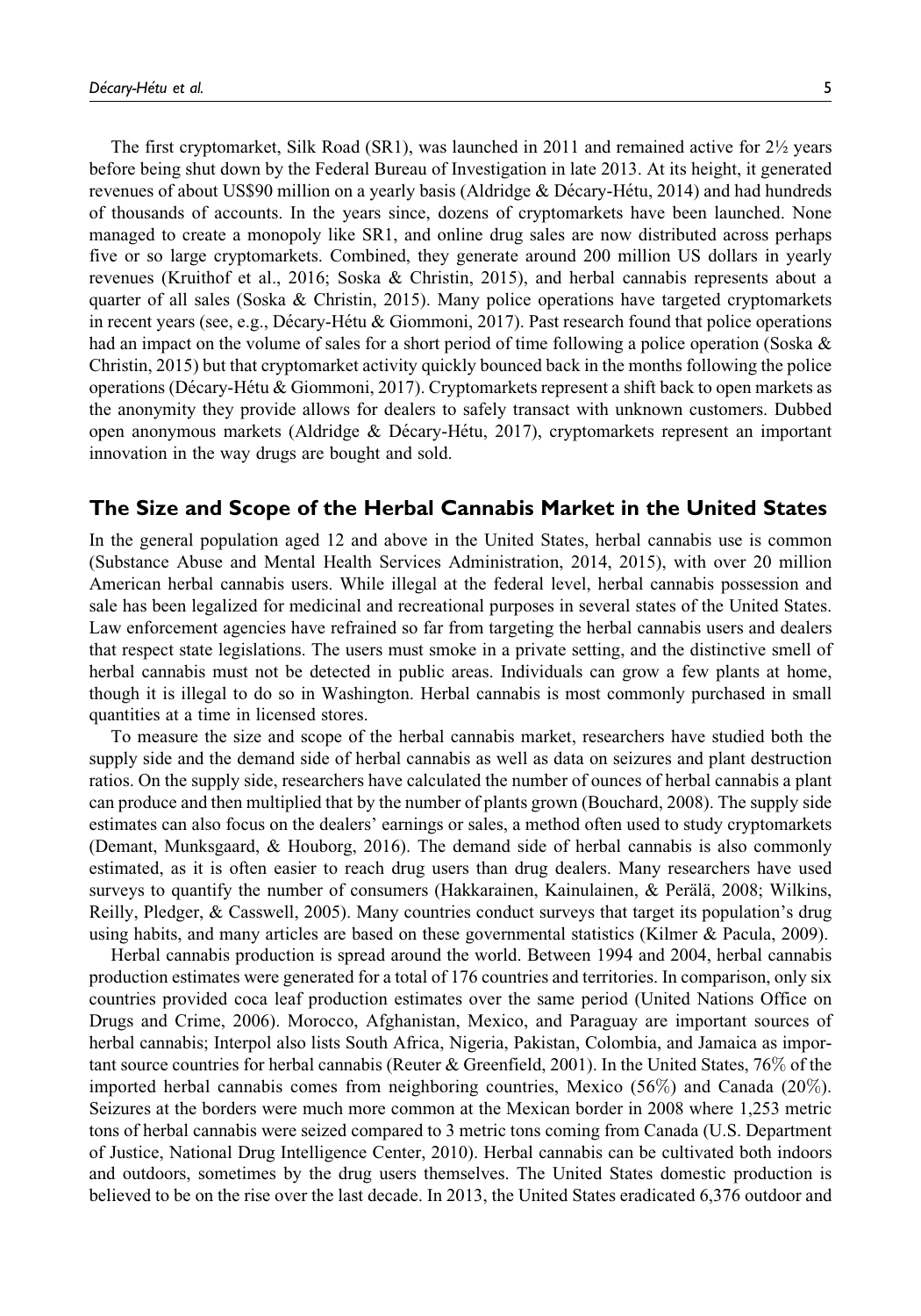The first cryptomarket, Silk Road (SR1), was launched in 2011 and remained active for  $2\frac{1}{2}$  years before being shut down by the Federal Bureau of Investigation in late 2013. At its height, it generated revenues of about US\$90 million on a yearly basis (Aldridge & Décary-Hétu, 2014) and had hundreds of thousands of accounts. In the years since, dozens of cryptomarkets have been launched. None managed to create a monopoly like SR1, and online drug sales are now distributed across perhaps five or so large cryptomarkets. Combined, they generate around 200 million US dollars in yearly revenues (Kruithof et al., 2016; Soska & Christin, 2015), and herbal cannabis represents about a quarter of all sales (Soska & Christin, 2015). Many police operations have targeted cryptomarkets in recent years (see, e.g., Décary-Hétu & Giommoni, 2017). Past research found that police operations had an impact on the volume of sales for a short period of time following a police operation (Soska  $\&$ Christin, 2015) but that cryptomarket activity quickly bounced back in the months following the police operations (Décary-Hétu & Giommoni, 2017). Cryptomarkets represent a shift back to open markets as the anonymity they provide allows for dealers to safely transact with unknown customers. Dubbed open anonymous markets (Aldridge & Décary-Hétu, 2017), cryptomarkets represent an important innovation in the way drugs are bought and sold.

# The Size and Scope of the Herbal Cannabis Market in the United States

In the general population aged 12 and above in the United States, herbal cannabis use is common (Substance Abuse and Mental Health Services Administration, 2014, 2015), with over 20 million American herbal cannabis users. While illegal at the federal level, herbal cannabis possession and sale has been legalized for medicinal and recreational purposes in several states of the United States. Law enforcement agencies have refrained so far from targeting the herbal cannabis users and dealers that respect state legislations. The users must smoke in a private setting, and the distinctive smell of herbal cannabis must not be detected in public areas. Individuals can grow a few plants at home, though it is illegal to do so in Washington. Herbal cannabis is most commonly purchased in small quantities at a time in licensed stores.

To measure the size and scope of the herbal cannabis market, researchers have studied both the supply side and the demand side of herbal cannabis as well as data on seizures and plant destruction ratios. On the supply side, researchers have calculated the number of ounces of herbal cannabis a plant can produce and then multiplied that by the number of plants grown (Bouchard, 2008). The supply side estimates can also focus on the dealers' earnings or sales, a method often used to study cryptomarkets (Demant, Munksgaard, & Houborg, 2016). The demand side of herbal cannabis is also commonly estimated, as it is often easier to reach drug users than drug dealers. Many researchers have used surveys to quantify the number of consumers (Hakkarainen, Kainulainen, & Perälä, 2008; Wilkins, Reilly, Pledger, & Casswell, 2005). Many countries conduct surveys that target its population's drug using habits, and many articles are based on these governmental statistics (Kilmer & Pacula, 2009).

Herbal cannabis production is spread around the world. Between 1994 and 2004, herbal cannabis production estimates were generated for a total of 176 countries and territories. In comparison, only six countries provided coca leaf production estimates over the same period (United Nations Office on Drugs and Crime, 2006). Morocco, Afghanistan, Mexico, and Paraguay are important sources of herbal cannabis; Interpol also lists South Africa, Nigeria, Pakistan, Colombia, and Jamaica as important source countries for herbal cannabis (Reuter & Greenfield, 2001). In the United States, 76% of the imported herbal cannabis comes from neighboring countries, Mexico (56%) and Canada (20%). Seizures at the borders were much more common at the Mexican border in 2008 where 1,253 metric tons of herbal cannabis were seized compared to 3 metric tons coming from Canada (U.S. Department of Justice, National Drug Intelligence Center, 2010). Herbal cannabis can be cultivated both indoors and outdoors, sometimes by the drug users themselves. The United States domestic production is believed to be on the rise over the last decade. In 2013, the United States eradicated 6,376 outdoor and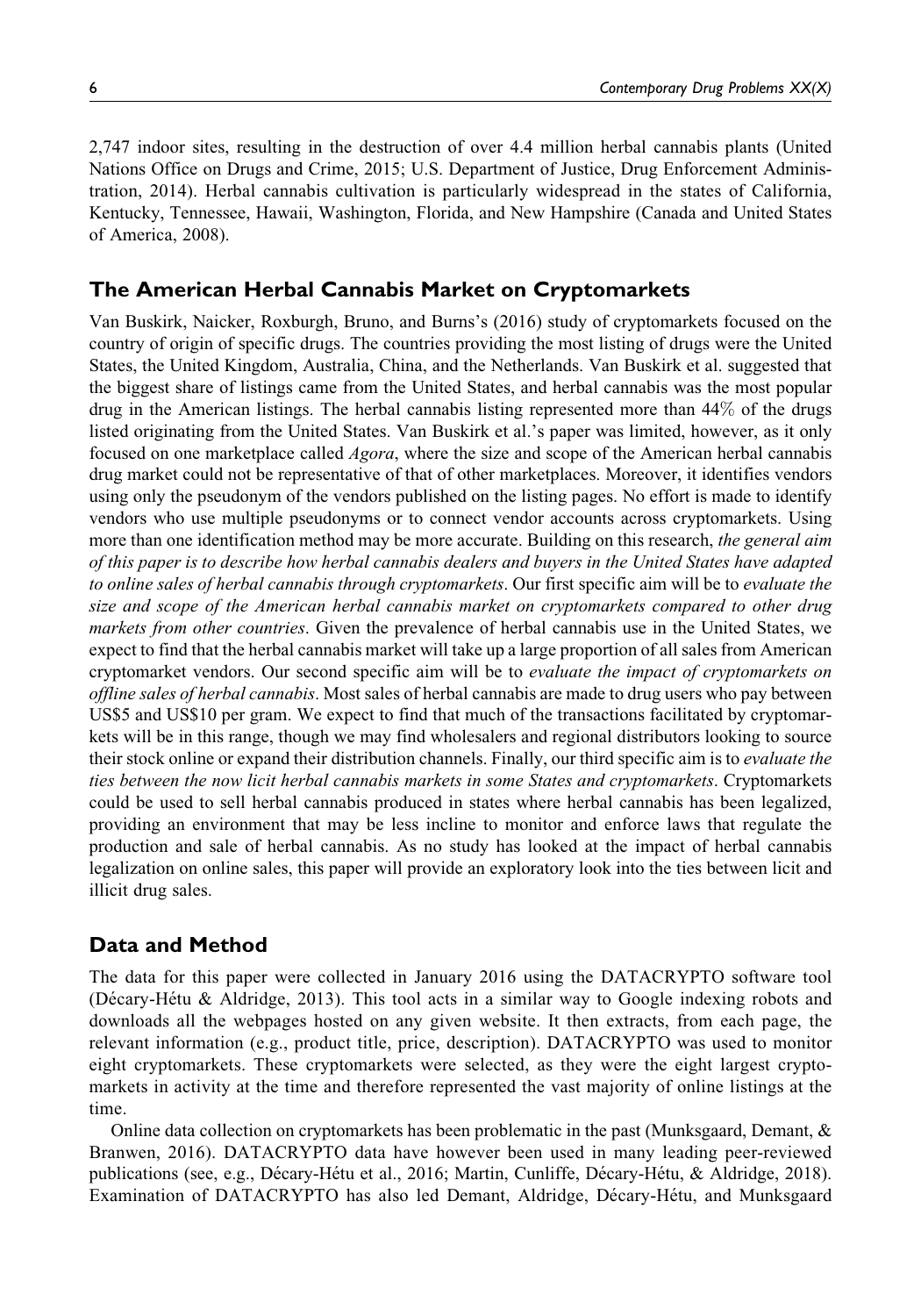2,747 indoor sites, resulting in the destruction of over 4.4 million herbal cannabis plants (United Nations Office on Drugs and Crime, 2015; U.S. Department of Justice, Drug Enforcement Administration, 2014). Herbal cannabis cultivation is particularly widespread in the states of California, Kentucky, Tennessee, Hawaii, Washington, Florida, and New Hampshire (Canada and United States of America, 2008).

# The American Herbal Cannabis Market on Cryptomarkets

Van Buskirk, Naicker, Roxburgh, Bruno, and Burns's (2016) study of cryptomarkets focused on the country of origin of specific drugs. The countries providing the most listing of drugs were the United States, the United Kingdom, Australia, China, and the Netherlands. Van Buskirk et al. suggested that the biggest share of listings came from the United States, and herbal cannabis was the most popular drug in the American listings. The herbal cannabis listing represented more than 44% of the drugs listed originating from the United States. Van Buskirk et al.'s paper was limited, however, as it only focused on one marketplace called Agora, where the size and scope of the American herbal cannabis drug market could not be representative of that of other marketplaces. Moreover, it identifies vendors using only the pseudonym of the vendors published on the listing pages. No effort is made to identify vendors who use multiple pseudonyms or to connect vendor accounts across cryptomarkets. Using more than one identification method may be more accurate. Building on this research, the general aim of this paper is to describe how herbal cannabis dealers and buyers in the United States have adapted to online sales of herbal cannabis through cryptomarkets. Our first specific aim will be to evaluate the size and scope of the American herbal cannabis market on cryptomarkets compared to other drug markets from other countries. Given the prevalence of herbal cannabis use in the United States, we expect to find that the herbal cannabis market will take up a large proportion of all sales from American cryptomarket vendors. Our second specific aim will be to evaluate the impact of cryptomarkets on offline sales of herbal cannabis. Most sales of herbal cannabis are made to drug users who pay between US\$5 and US\$10 per gram. We expect to find that much of the transactions facilitated by cryptomarkets will be in this range, though we may find wholesalers and regional distributors looking to source their stock online or expand their distribution channels. Finally, our third specific aim is to *evaluate the* ties between the now licit herbal cannabis markets in some States and cryptomarkets. Cryptomarkets could be used to sell herbal cannabis produced in states where herbal cannabis has been legalized, providing an environment that may be less incline to monitor and enforce laws that regulate the production and sale of herbal cannabis. As no study has looked at the impact of herbal cannabis legalization on online sales, this paper will provide an exploratory look into the ties between licit and illicit drug sales.

# Data and Method

The data for this paper were collected in January 2016 using the DATACRYPTO software tool (Décary-Hétu & Aldridge, 2013). This tool acts in a similar way to Google indexing robots and downloads all the webpages hosted on any given website. It then extracts, from each page, the relevant information (e.g., product title, price, description). DATACRYPTO was used to monitor eight cryptomarkets. These cryptomarkets were selected, as they were the eight largest cryptomarkets in activity at the time and therefore represented the vast majority of online listings at the time.

Online data collection on cryptomarkets has been problematic in the past (Munksgaard, Demant, & Branwen, 2016). DATACRYPTO data have however been used in many leading peer-reviewed publications (see, e.g., Décary-Hétu et al., 2016; Martin, Cunliffe, Décary-Hétu, & Aldridge, 2018). Examination of DATACRYPTO has also led Demant, Aldridge, Décary-Hétu, and Munksgaard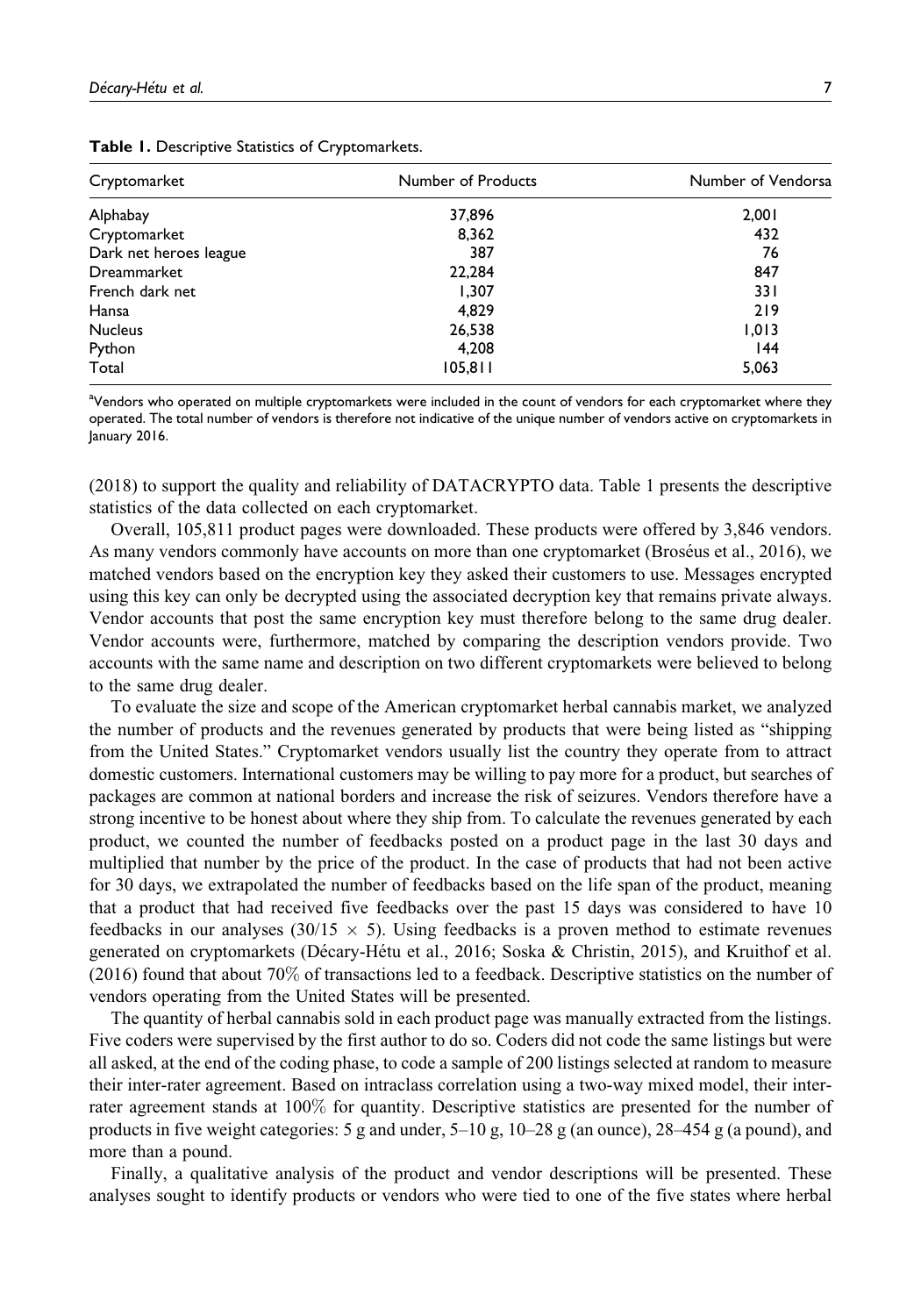| Cryptomarket           | Number of Products | Number of Vendorsa |  |  |
|------------------------|--------------------|--------------------|--|--|
| Alphabay               | 37,896             | 2,001              |  |  |
| Cryptomarket           | 8,362              | 432                |  |  |
| Dark net heroes league | 387                | 76                 |  |  |
| Dreammarket            | 22,284             | 847                |  |  |
| French dark net        | 1,307              | 331                |  |  |
| Hansa                  | 4,829              | 219                |  |  |
| <b>Nucleus</b>         | 26,538             | 1,013              |  |  |
| Python                 | 4.208              | 144                |  |  |
| Total                  | 105,811            | 5,063              |  |  |

|  |  |  |  |  | Table 1. Descriptive Statistics of Cryptomarkets. |
|--|--|--|--|--|---------------------------------------------------|
|--|--|--|--|--|---------------------------------------------------|

<sup>a</sup>Vendors who operated on multiple cryptomarkets were included in the count of vendors for each cryptomarket where they operated. The total number of vendors is therefore not indicative of the unique number of vendors active on cryptomarkets in January 2016.

(2018) to support the quality and reliability of DATACRYPTO data. Table 1 presents the descriptive statistics of the data collected on each cryptomarket.

Overall, 105,811 product pages were downloaded. These products were offered by 3,846 vendors. As many vendors commonly have accounts on more than one cryptomarket (Broséus et al., 2016), we matched vendors based on the encryption key they asked their customers to use. Messages encrypted using this key can only be decrypted using the associated decryption key that remains private always. Vendor accounts that post the same encryption key must therefore belong to the same drug dealer. Vendor accounts were, furthermore, matched by comparing the description vendors provide. Two accounts with the same name and description on two different cryptomarkets were believed to belong to the same drug dealer.

To evaluate the size and scope of the American cryptomarket herbal cannabis market, we analyzed the number of products and the revenues generated by products that were being listed as "shipping from the United States." Cryptomarket vendors usually list the country they operate from to attract domestic customers. International customers may be willing to pay more for a product, but searches of packages are common at national borders and increase the risk of seizures. Vendors therefore have a strong incentive to be honest about where they ship from. To calculate the revenues generated by each product, we counted the number of feedbacks posted on a product page in the last 30 days and multiplied that number by the price of the product. In the case of products that had not been active for 30 days, we extrapolated the number of feedbacks based on the life span of the product, meaning that a product that had received five feedbacks over the past 15 days was considered to have 10 feedbacks in our analyses (30/15  $\times$  5). Using feedbacks is a proven method to estimate revenues generated on cryptomarkets (Décary-Hétu et al., 2016; Soska & Christin, 2015), and Kruithof et al. (2016) found that about 70% of transactions led to a feedback. Descriptive statistics on the number of vendors operating from the United States will be presented.

The quantity of herbal cannabis sold in each product page was manually extracted from the listings. Five coders were supervised by the first author to do so. Coders did not code the same listings but were all asked, at the end of the coding phase, to code a sample of 200 listings selected at random to measure their inter-rater agreement. Based on intraclass correlation using a two-way mixed model, their interrater agreement stands at 100% for quantity. Descriptive statistics are presented for the number of products in five weight categories:  $5 \text{ g}$  and under,  $5-10 \text{ g}$ ,  $10-28 \text{ g}$  (an ounce),  $28-454 \text{ g}$  (a pound), and more than a pound.

Finally, a qualitative analysis of the product and vendor descriptions will be presented. These analyses sought to identify products or vendors who were tied to one of the five states where herbal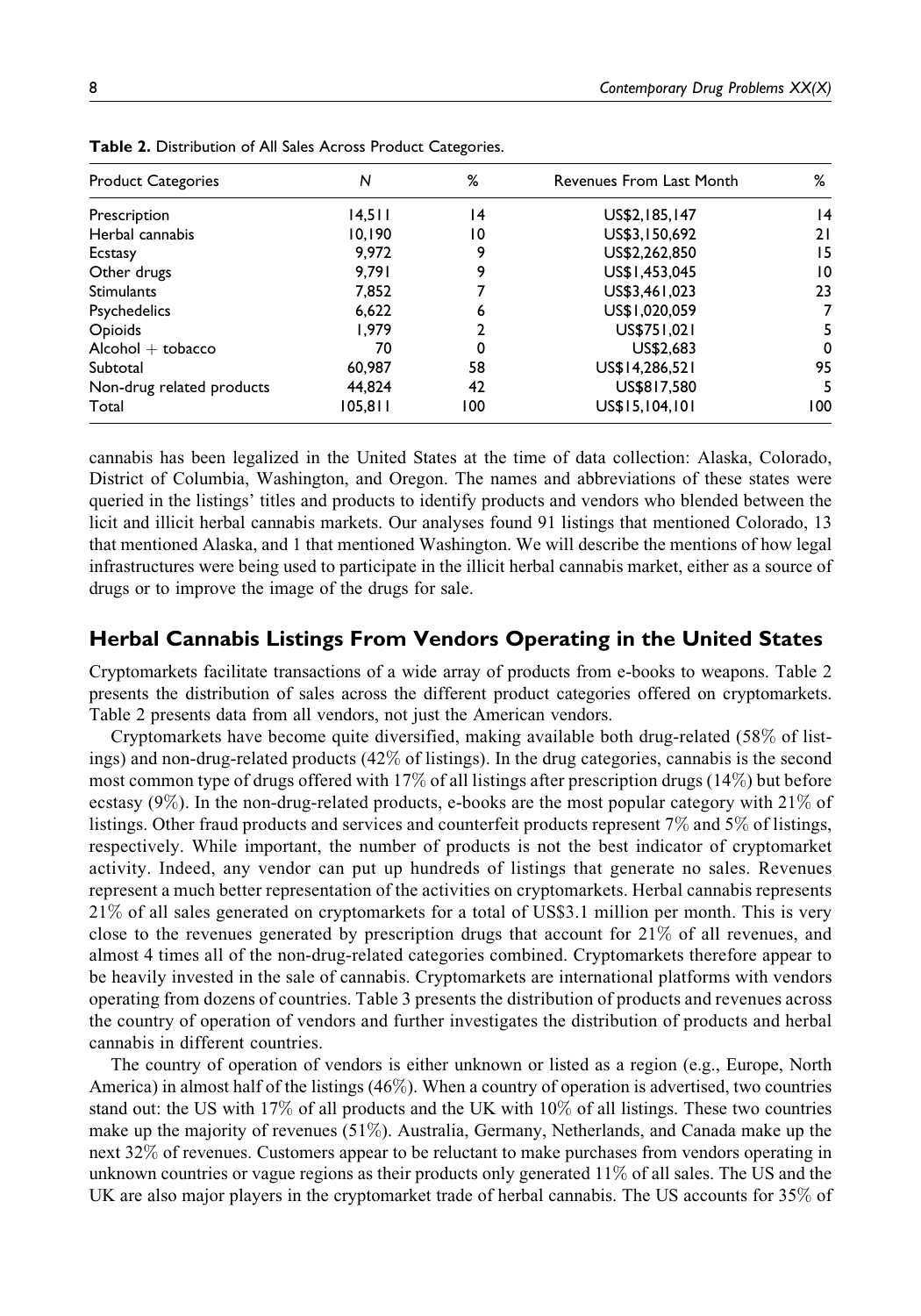| <b>Product Categories</b> | N       | %   | Revenues From Last Month | %   |  |
|---------------------------|---------|-----|--------------------------|-----|--|
| Prescription              | 14,511  | 14  | US\$2,185,147            | 4   |  |
| Herbal cannabis           | 10,190  | 10  | US\$3,150,692            | 21  |  |
| Ecstasy                   | 9,972   | 9   | US\$2,262,850            | 15  |  |
| Other drugs               | 9,791   | 9   | US\$1,453,045            | 10  |  |
| <b>Stimulants</b>         | 7,852   |     | US\$3,461,023            | 23  |  |
| Psychedelics              | 6,622   | 6   | US\$1,020,059            | 7   |  |
| Opioids                   | 1.979   |     | US\$751,021              |     |  |
| $Alcohol + tobacco$       | 70      | 0   | US\$2,683                | 0   |  |
| Subtotal                  | 60,987  | 58  | US\$14,286,521           | 95  |  |
| Non-drug related products | 44.824  | 42  | US\$817,580              | 5   |  |
| Total                     | 105.811 | 100 | US\$15,104,101           | 100 |  |

Table 2. Distribution of All Sales Across Product Categories.

cannabis has been legalized in the United States at the time of data collection: Alaska, Colorado, District of Columbia, Washington, and Oregon. The names and abbreviations of these states were queried in the listings' titles and products to identify products and vendors who blended between the licit and illicit herbal cannabis markets. Our analyses found 91 listings that mentioned Colorado, 13 that mentioned Alaska, and 1 that mentioned Washington. We will describe the mentions of how legal infrastructures were being used to participate in the illicit herbal cannabis market, either as a source of drugs or to improve the image of the drugs for sale.

## Herbal Cannabis Listings From Vendors Operating in the United States

Cryptomarkets facilitate transactions of a wide array of products from e-books to weapons. Table 2 presents the distribution of sales across the different product categories offered on cryptomarkets. Table 2 presents data from all vendors, not just the American vendors.

Cryptomarkets have become quite diversified, making available both drug-related (58% of listings) and non-drug-related products (42% of listings). In the drug categories, cannabis is the second most common type of drugs offered with 17% of all listings after prescription drugs (14%) but before ecstasy (9%). In the non-drug-related products, e-books are the most popular category with 21% of listings. Other fraud products and services and counterfeit products represent 7% and 5% of listings, respectively. While important, the number of products is not the best indicator of cryptomarket activity. Indeed, any vendor can put up hundreds of listings that generate no sales. Revenues represent a much better representation of the activities on cryptomarkets. Herbal cannabis represents 21% of all sales generated on cryptomarkets for a total of US\$3.1 million per month. This is very close to the revenues generated by prescription drugs that account for 21% of all revenues, and almost 4 times all of the non-drug-related categories combined. Cryptomarkets therefore appear to be heavily invested in the sale of cannabis. Cryptomarkets are international platforms with vendors operating from dozens of countries. Table 3 presents the distribution of products and revenues across the country of operation of vendors and further investigates the distribution of products and herbal cannabis in different countries.

The country of operation of vendors is either unknown or listed as a region (e.g., Europe, North America) in almost half of the listings (46%). When a country of operation is advertised, two countries stand out: the US with 17% of all products and the UK with 10% of all listings. These two countries make up the majority of revenues (51%). Australia, Germany, Netherlands, and Canada make up the next 32% of revenues. Customers appear to be reluctant to make purchases from vendors operating in unknown countries or vague regions as their products only generated 11% of all sales. The US and the UK are also major players in the cryptomarket trade of herbal cannabis. The US accounts for 35% of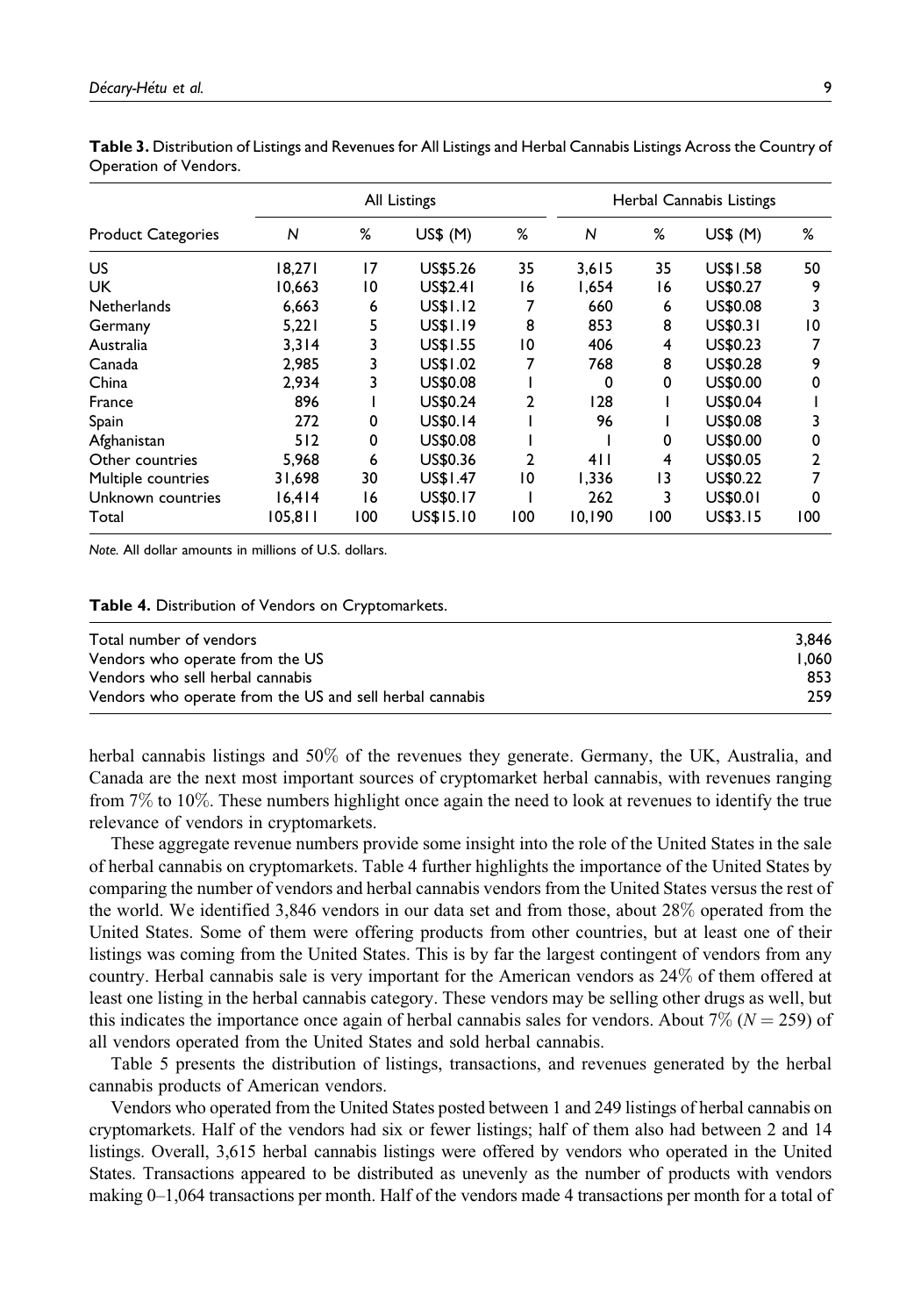|                           | All Listings |     |           |                | Herbal Cannabis Listings |     |                 |     |
|---------------------------|--------------|-----|-----------|----------------|--------------------------|-----|-----------------|-----|
| <b>Product Categories</b> | N            | %   | $US$$ (M) | %              | N                        | %   | US\$ (M)        | %   |
| <b>US</b>                 | 18.271       | 17  | US\$5.26  | 35             | 3.615                    | 35  | US\$1.58        | 50  |
| <b>UK</b>                 | 10.663       | 10  | US\$2.41  | 16             | 1.654                    | 16  | US\$0.27        | 9   |
| <b>Netherlands</b>        | 6,663        | 6   | US\$1.12  | 7              | 660                      | 6   | US\$0.08        |     |
| Germany                   | 5.221        | 5   | US\$1.19  | 8              | 853                      | 8   | US\$0.31        | 10  |
| Australia                 | 3.314        | 3   | US\$1.55  | 10             | 406                      | 4   | US\$0.23        |     |
| Canada                    | 2.985        | 3   | US\$1.02  | 7              | 768                      | 8   | US\$0.28        | 9   |
| China                     | 2.934        | 3   | US\$0.08  |                | 0                        | 0   | US\$0.00        | 0   |
| France                    | 896          |     | US\$0.24  | $\mathfrak{p}$ | 128                      |     | US\$0.04        |     |
| Spain                     | 272          | 0   | US\$0.14  |                | 96                       |     | US\$0.08        |     |
| Afghanistan               | 512          | 0   | US\$0.08  |                |                          | 0   | US\$0.00        | 0   |
| Other countries           | 5.968        | 6   | US\$0.36  | 2              | 411                      | 4   | US\$0.05        |     |
| Multiple countries        | 31.698       | 30  | US\$1.47  | 10             | 1.336                    | 13  | US\$0.22        |     |
| Unknown countries         | 16,414       | 16  | US\$0.17  |                | 262                      | 3   | US\$0.01        | O   |
| Total                     | 105.811      | 100 | US\$15.10 | 100            | 10.190                   | 100 | <b>US\$3.15</b> | 100 |

Table 3. Distribution of Listings and Revenues for All Listings and Herbal Cannabis Listings Across the Country of Operation of Vendors.

Note. All dollar amounts in millions of U.S. dollars.

Table 4. Distribution of Vendors on Cryptomarkets.

| Total number of vendors                                  | 3.846 |
|----------------------------------------------------------|-------|
| Vendors who operate from the US                          | 1.060 |
| Vendors who sell herbal cannabis                         | 853   |
| Vendors who operate from the US and sell herbal cannabis | 259   |

herbal cannabis listings and 50% of the revenues they generate. Germany, the UK, Australia, and Canada are the next most important sources of cryptomarket herbal cannabis, with revenues ranging from 7% to 10%. These numbers highlight once again the need to look at revenues to identify the true relevance of vendors in cryptomarkets.

These aggregate revenue numbers provide some insight into the role of the United States in the sale of herbal cannabis on cryptomarkets. Table 4 further highlights the importance of the United States by comparing the number of vendors and herbal cannabis vendors from the United States versus the rest of the world. We identified 3,846 vendors in our data set and from those, about 28% operated from the United States. Some of them were offering products from other countries, but at least one of their listings was coming from the United States. This is by far the largest contingent of vendors from any country. Herbal cannabis sale is very important for the American vendors as 24% of them offered at least one listing in the herbal cannabis category. These vendors may be selling other drugs as well, but this indicates the importance once again of herbal cannabis sales for vendors. About 7\% ( $N = 259$ ) of all vendors operated from the United States and sold herbal cannabis.

Table 5 presents the distribution of listings, transactions, and revenues generated by the herbal cannabis products of American vendors.

Vendors who operated from the United States posted between 1 and 249 listings of herbal cannabis on cryptomarkets. Half of the vendors had six or fewer listings; half of them also had between 2 and 14 listings. Overall, 3,615 herbal cannabis listings were offered by vendors who operated in the United States. Transactions appeared to be distributed as unevenly as the number of products with vendors making 0–1,064 transactions per month. Half of the vendors made 4 transactions per month for a total of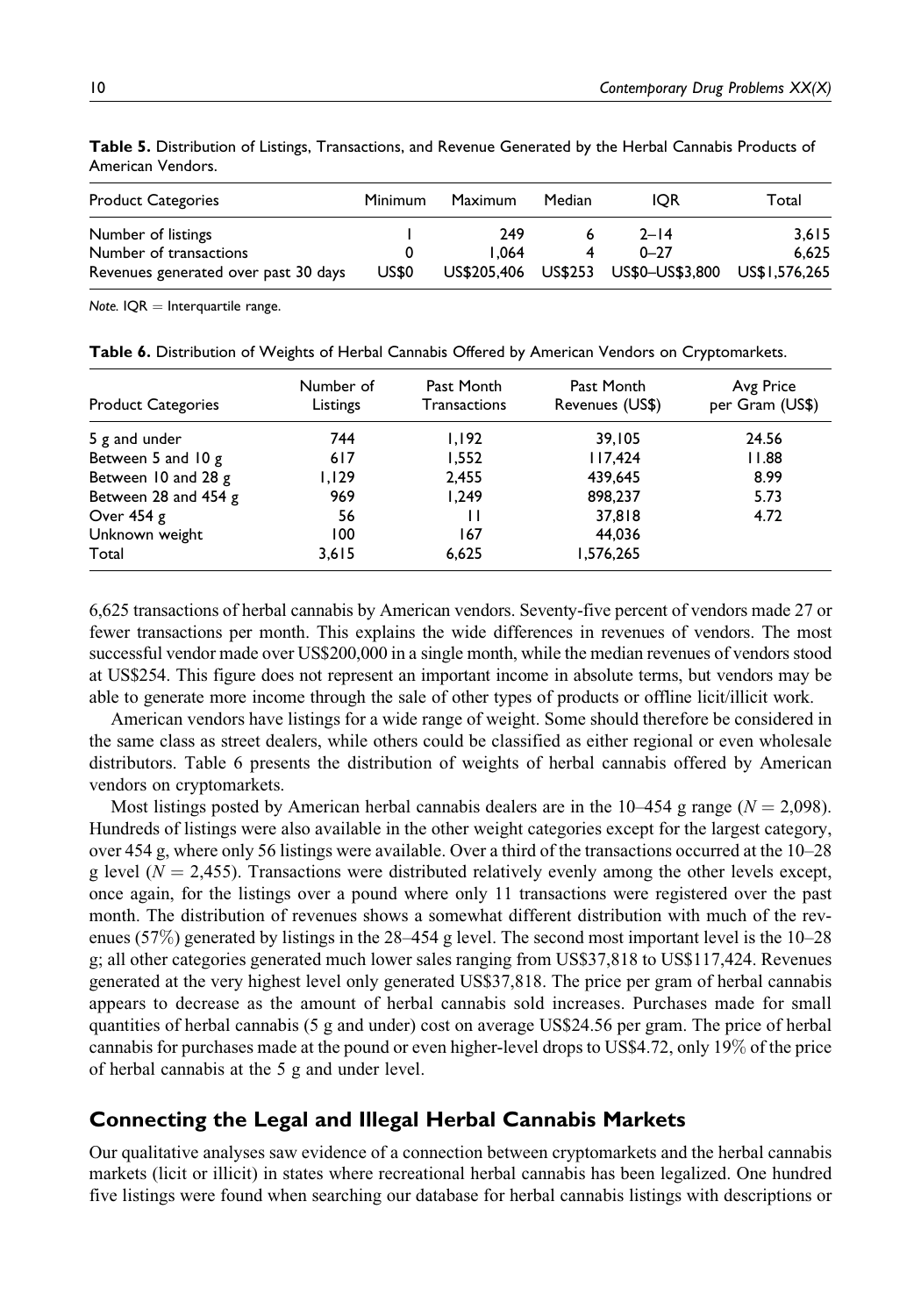| <b>Product Categories</b>            | Minimum      | Maximum     | Median         | IOR             | Total         |
|--------------------------------------|--------------|-------------|----------------|-----------------|---------------|
| Number of listings                   |              | 249         |                | $2 - 14$        | 3.615         |
| Number of transactions               |              | 1.064       |                | $0 - 27$        | 6.625         |
| Revenues generated over past 30 days | <b>US\$0</b> | US\$205,406 | <b>US\$253</b> | US\$0-US\$3,800 | US\$1,576,265 |

Table 5. Distribution of Listings, Transactions, and Revenue Generated by the Herbal Cannabis Products of American Vendors.

Note.  $IQR = Interquartile range$ .

Table 6. Distribution of Weights of Herbal Cannabis Offered by American Vendors on Cryptomarkets.

| <b>Product Categories</b> | Number of<br>Listings | Past Month<br>Transactions | Past Month<br>Revenues (US\$) | Avg Price<br>per Gram (US\$) |
|---------------------------|-----------------------|----------------------------|-------------------------------|------------------------------|
| 5 g and under             | 744                   | I.I92                      | 39,105                        | 24.56                        |
| Between 5 and 10 g        | 617                   | 1,552                      | 117,424                       | 11.88                        |
| Between 10 and 28 g       | 1,129                 | 2,455                      | 439,645                       | 8.99                         |
| Between 28 and $454$ g    | 969                   | 1.249                      | 898,237                       | 5.73                         |
| Over $454 g$              | 56                    | Н                          | 37,818                        | 4.72                         |
| Unknown weight            | 100                   | 167                        | 44.036                        |                              |
| Total                     | 3.615                 | 6.625                      | 1,576,265                     |                              |

6,625 transactions of herbal cannabis by American vendors. Seventy-five percent of vendors made 27 or fewer transactions per month. This explains the wide differences in revenues of vendors. The most successful vendor made over US\$200,000 in a single month, while the median revenues of vendors stood at US\$254. This figure does not represent an important income in absolute terms, but vendors may be able to generate more income through the sale of other types of products or offline licit/illicit work.

American vendors have listings for a wide range of weight. Some should therefore be considered in the same class as street dealers, while others could be classified as either regional or even wholesale distributors. Table 6 presents the distribution of weights of herbal cannabis offered by American vendors on cryptomarkets.

Most listings posted by American herbal cannabis dealers are in the  $10-454$  g range ( $N = 2,098$ ). Hundreds of listings were also available in the other weight categories except for the largest category, over 454 g, where only 56 listings were available. Over a third of the transactions occurred at the 10–28 g level ( $N = 2,455$ ). Transactions were distributed relatively evenly among the other levels except, once again, for the listings over a pound where only 11 transactions were registered over the past month. The distribution of revenues shows a somewhat different distribution with much of the revenues (57%) generated by listings in the 28–454 g level. The second most important level is the 10–28 g; all other categories generated much lower sales ranging from US\$37,818 to US\$117,424. Revenues generated at the very highest level only generated US\$37,818. The price per gram of herbal cannabis appears to decrease as the amount of herbal cannabis sold increases. Purchases made for small quantities of herbal cannabis (5 g and under) cost on average US\$24.56 per gram. The price of herbal cannabis for purchases made at the pound or even higher-level drops to US\$4.72, only 19% of the price of herbal cannabis at the 5 g and under level.

# Connecting the Legal and Illegal Herbal Cannabis Markets

Our qualitative analyses saw evidence of a connection between cryptomarkets and the herbal cannabis markets (licit or illicit) in states where recreational herbal cannabis has been legalized. One hundred five listings were found when searching our database for herbal cannabis listings with descriptions or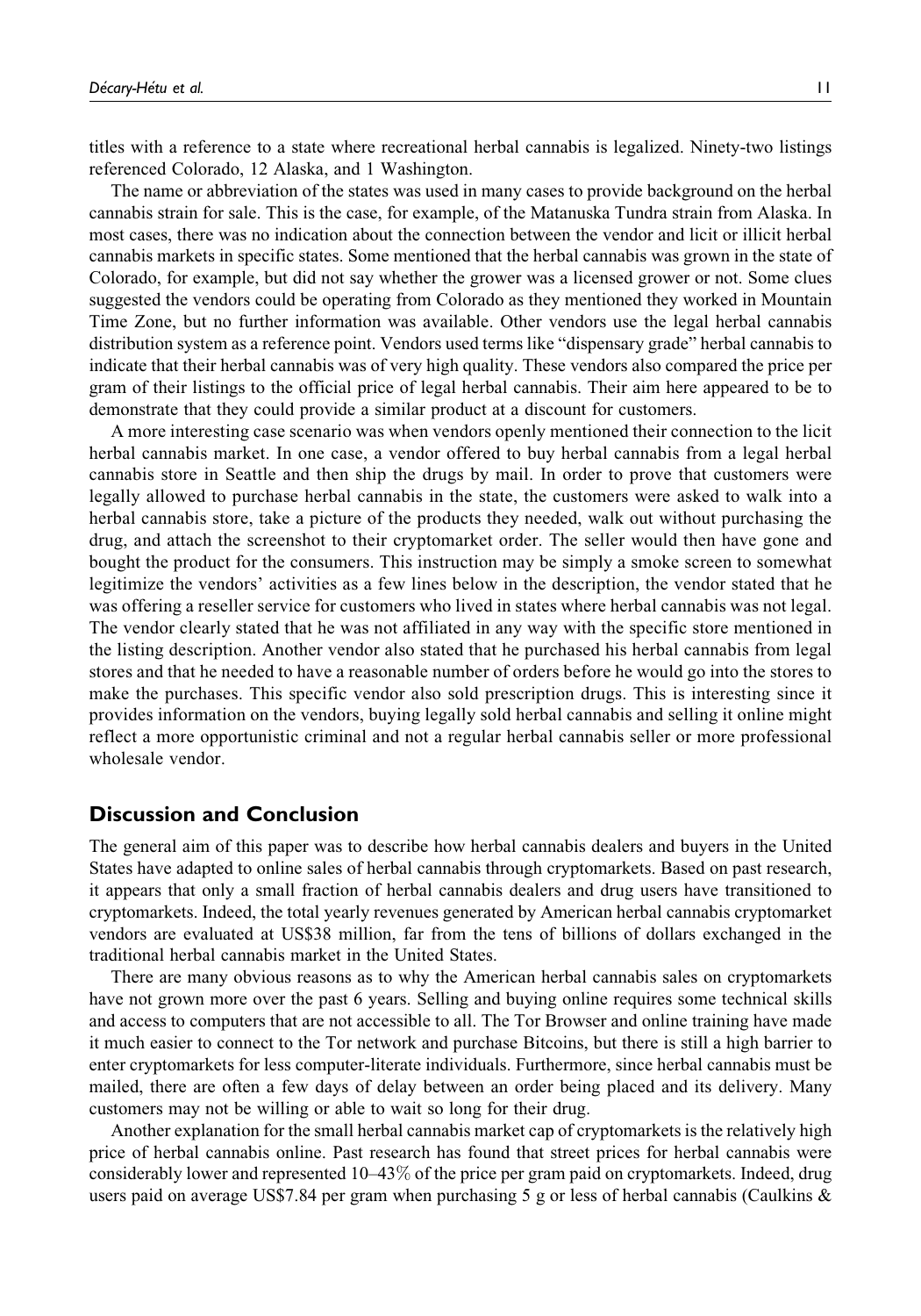titles with a reference to a state where recreational herbal cannabis is legalized. Ninety-two listings referenced Colorado, 12 Alaska, and 1 Washington.

The name or abbreviation of the states was used in many cases to provide background on the herbal cannabis strain for sale. This is the case, for example, of the Matanuska Tundra strain from Alaska. In most cases, there was no indication about the connection between the vendor and licit or illicit herbal cannabis markets in specific states. Some mentioned that the herbal cannabis was grown in the state of Colorado, for example, but did not say whether the grower was a licensed grower or not. Some clues suggested the vendors could be operating from Colorado as they mentioned they worked in Mountain Time Zone, but no further information was available. Other vendors use the legal herbal cannabis distribution system as a reference point. Vendors used terms like "dispensary grade" herbal cannabis to indicate that their herbal cannabis was of very high quality. These vendors also compared the price per gram of their listings to the official price of legal herbal cannabis. Their aim here appeared to be to demonstrate that they could provide a similar product at a discount for customers.

A more interesting case scenario was when vendors openly mentioned their connection to the licit herbal cannabis market. In one case, a vendor offered to buy herbal cannabis from a legal herbal cannabis store in Seattle and then ship the drugs by mail. In order to prove that customers were legally allowed to purchase herbal cannabis in the state, the customers were asked to walk into a herbal cannabis store, take a picture of the products they needed, walk out without purchasing the drug, and attach the screenshot to their cryptomarket order. The seller would then have gone and bought the product for the consumers. This instruction may be simply a smoke screen to somewhat legitimize the vendors' activities as a few lines below in the description, the vendor stated that he was offering a reseller service for customers who lived in states where herbal cannabis was not legal. The vendor clearly stated that he was not affiliated in any way with the specific store mentioned in the listing description. Another vendor also stated that he purchased his herbal cannabis from legal stores and that he needed to have a reasonable number of orders before he would go into the stores to make the purchases. This specific vendor also sold prescription drugs. This is interesting since it provides information on the vendors, buying legally sold herbal cannabis and selling it online might reflect a more opportunistic criminal and not a regular herbal cannabis seller or more professional wholesale vendor.

#### Discussion and Conclusion

The general aim of this paper was to describe how herbal cannabis dealers and buyers in the United States have adapted to online sales of herbal cannabis through cryptomarkets. Based on past research, it appears that only a small fraction of herbal cannabis dealers and drug users have transitioned to cryptomarkets. Indeed, the total yearly revenues generated by American herbal cannabis cryptomarket vendors are evaluated at US\$38 million, far from the tens of billions of dollars exchanged in the traditional herbal cannabis market in the United States.

There are many obvious reasons as to why the American herbal cannabis sales on cryptomarkets have not grown more over the past 6 years. Selling and buying online requires some technical skills and access to computers that are not accessible to all. The Tor Browser and online training have made it much easier to connect to the Tor network and purchase Bitcoins, but there is still a high barrier to enter cryptomarkets for less computer-literate individuals. Furthermore, since herbal cannabis must be mailed, there are often a few days of delay between an order being placed and its delivery. Many customers may not be willing or able to wait so long for their drug.

Another explanation for the small herbal cannabis market cap of cryptomarkets is the relatively high price of herbal cannabis online. Past research has found that street prices for herbal cannabis were considerably lower and represented 10–43% of the price per gram paid on cryptomarkets. Indeed, drug users paid on average US\$7.84 per gram when purchasing 5 g or less of herbal cannabis (Caulkins  $\&$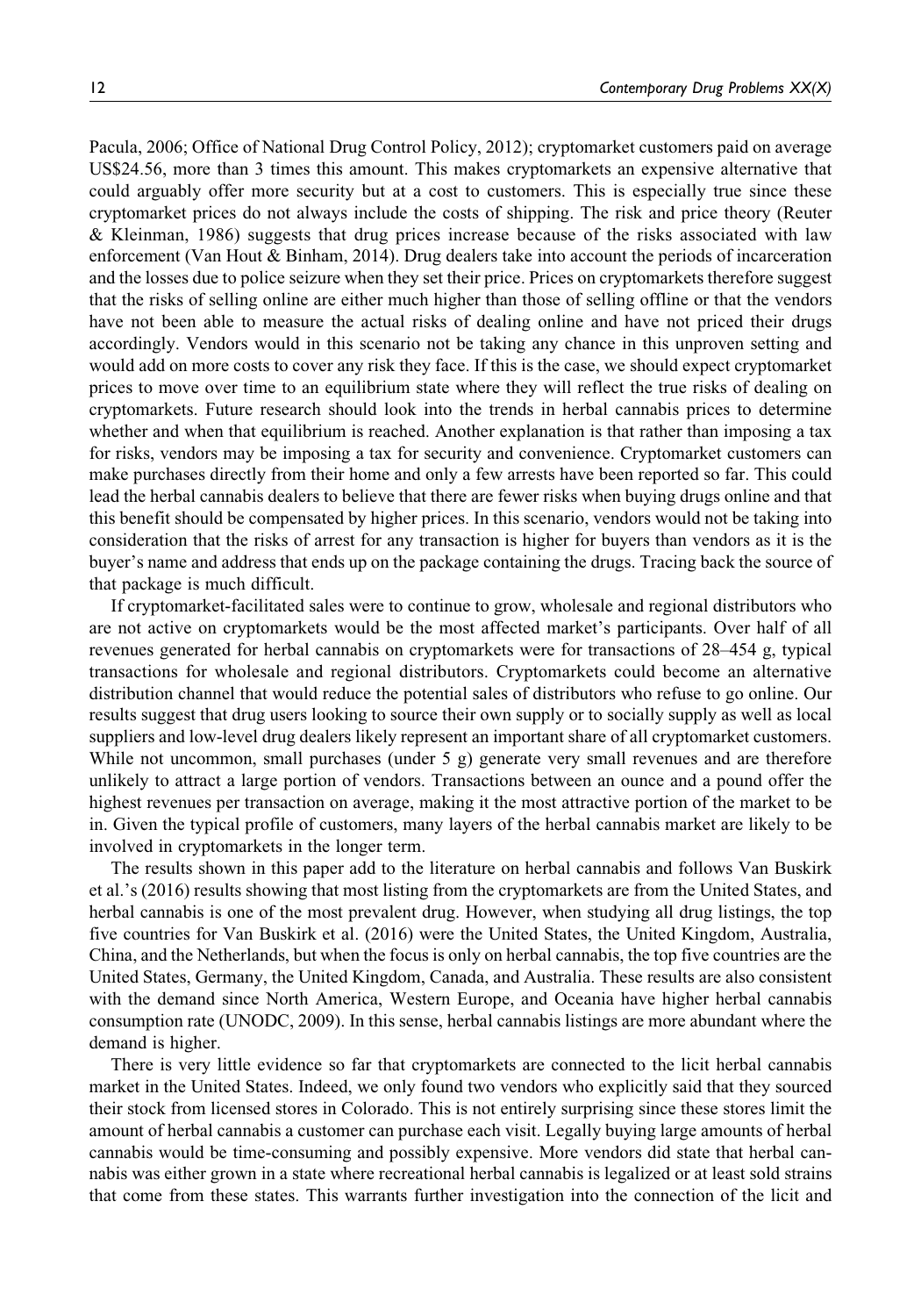Pacula, 2006; Office of National Drug Control Policy, 2012); cryptomarket customers paid on average US\$24.56, more than 3 times this amount. This makes cryptomarkets an expensive alternative that could arguably offer more security but at a cost to customers. This is especially true since these cryptomarket prices do not always include the costs of shipping. The risk and price theory (Reuter & Kleinman, 1986) suggests that drug prices increase because of the risks associated with law enforcement (Van Hout & Binham, 2014). Drug dealers take into account the periods of incarceration and the losses due to police seizure when they set their price. Prices on cryptomarkets therefore suggest that the risks of selling online are either much higher than those of selling offline or that the vendors have not been able to measure the actual risks of dealing online and have not priced their drugs accordingly. Vendors would in this scenario not be taking any chance in this unproven setting and would add on more costs to cover any risk they face. If this is the case, we should expect cryptomarket prices to move over time to an equilibrium state where they will reflect the true risks of dealing on cryptomarkets. Future research should look into the trends in herbal cannabis prices to determine whether and when that equilibrium is reached. Another explanation is that rather than imposing a tax for risks, vendors may be imposing a tax for security and convenience. Cryptomarket customers can make purchases directly from their home and only a few arrests have been reported so far. This could lead the herbal cannabis dealers to believe that there are fewer risks when buying drugs online and that this benefit should be compensated by higher prices. In this scenario, vendors would not be taking into consideration that the risks of arrest for any transaction is higher for buyers than vendors as it is the buyer's name and address that ends up on the package containing the drugs. Tracing back the source of that package is much difficult.

If cryptomarket-facilitated sales were to continue to grow, wholesale and regional distributors who are not active on cryptomarkets would be the most affected market's participants. Over half of all revenues generated for herbal cannabis on cryptomarkets were for transactions of 28–454 g, typical transactions for wholesale and regional distributors. Cryptomarkets could become an alternative distribution channel that would reduce the potential sales of distributors who refuse to go online. Our results suggest that drug users looking to source their own supply or to socially supply as well as local suppliers and low-level drug dealers likely represent an important share of all cryptomarket customers. While not uncommon, small purchases (under 5 g) generate very small revenues and are therefore unlikely to attract a large portion of vendors. Transactions between an ounce and a pound offer the highest revenues per transaction on average, making it the most attractive portion of the market to be in. Given the typical profile of customers, many layers of the herbal cannabis market are likely to be involved in cryptomarkets in the longer term.

The results shown in this paper add to the literature on herbal cannabis and follows Van Buskirk et al.'s (2016) results showing that most listing from the cryptomarkets are from the United States, and herbal cannabis is one of the most prevalent drug. However, when studying all drug listings, the top five countries for Van Buskirk et al. (2016) were the United States, the United Kingdom, Australia, China, and the Netherlands, but when the focus is only on herbal cannabis, the top five countries are the United States, Germany, the United Kingdom, Canada, and Australia. These results are also consistent with the demand since North America, Western Europe, and Oceania have higher herbal cannabis consumption rate (UNODC, 2009). In this sense, herbal cannabis listings are more abundant where the demand is higher.

There is very little evidence so far that cryptomarkets are connected to the licit herbal cannabis market in the United States. Indeed, we only found two vendors who explicitly said that they sourced their stock from licensed stores in Colorado. This is not entirely surprising since these stores limit the amount of herbal cannabis a customer can purchase each visit. Legally buying large amounts of herbal cannabis would be time-consuming and possibly expensive. More vendors did state that herbal cannabis was either grown in a state where recreational herbal cannabis is legalized or at least sold strains that come from these states. This warrants further investigation into the connection of the licit and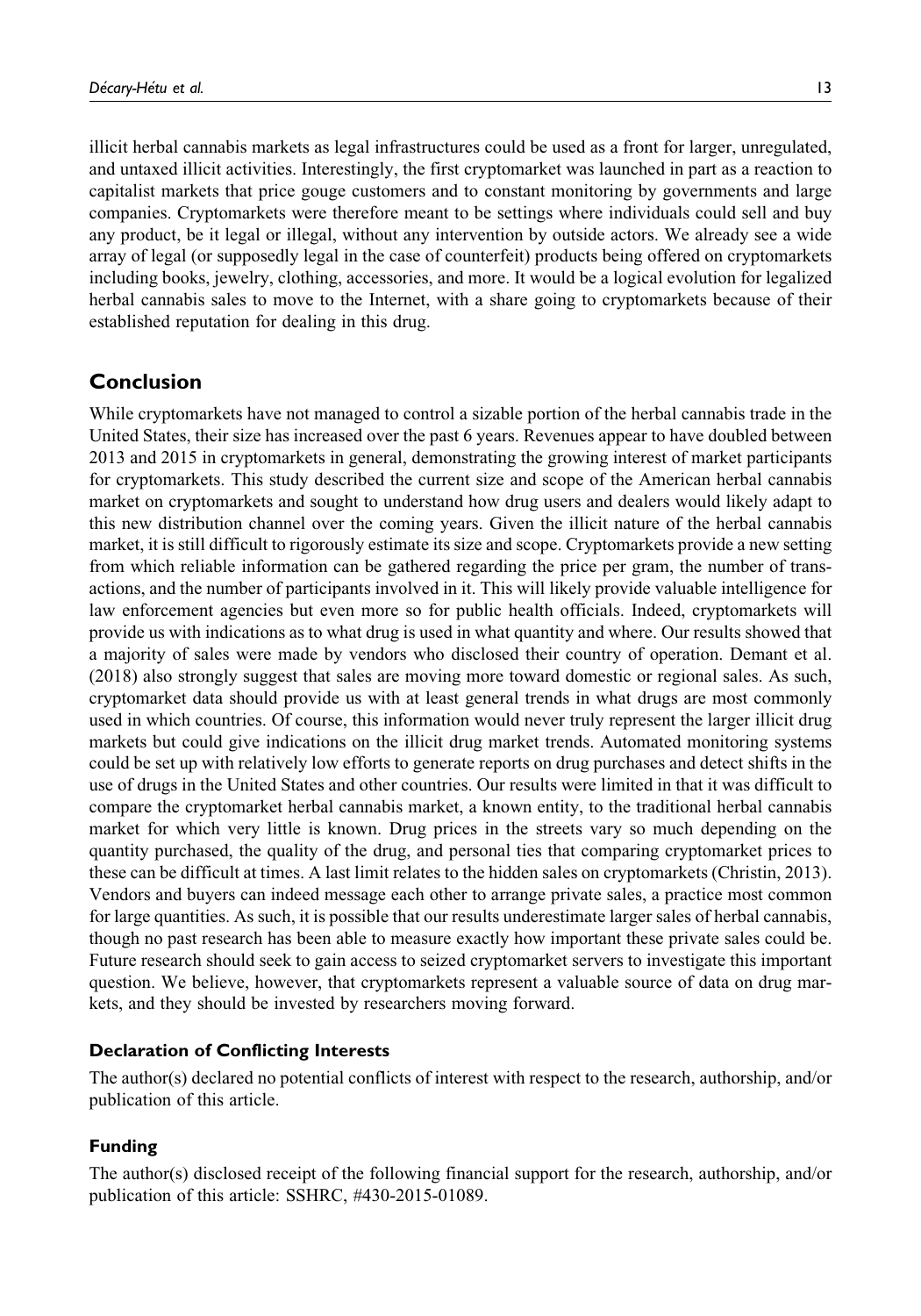illicit herbal cannabis markets as legal infrastructures could be used as a front for larger, unregulated, and untaxed illicit activities. Interestingly, the first cryptomarket was launched in part as a reaction to capitalist markets that price gouge customers and to constant monitoring by governments and large companies. Cryptomarkets were therefore meant to be settings where individuals could sell and buy any product, be it legal or illegal, without any intervention by outside actors. We already see a wide array of legal (or supposedly legal in the case of counterfeit) products being offered on cryptomarkets including books, jewelry, clothing, accessories, and more. It would be a logical evolution for legalized herbal cannabis sales to move to the Internet, with a share going to cryptomarkets because of their established reputation for dealing in this drug.

# Conclusion

While cryptomarkets have not managed to control a sizable portion of the herbal cannabis trade in the United States, their size has increased over the past 6 years. Revenues appear to have doubled between 2013 and 2015 in cryptomarkets in general, demonstrating the growing interest of market participants for cryptomarkets. This study described the current size and scope of the American herbal cannabis market on cryptomarkets and sought to understand how drug users and dealers would likely adapt to this new distribution channel over the coming years. Given the illicit nature of the herbal cannabis market, it is still difficult to rigorously estimate its size and scope. Cryptomarkets provide a new setting from which reliable information can be gathered regarding the price per gram, the number of transactions, and the number of participants involved in it. This will likely provide valuable intelligence for law enforcement agencies but even more so for public health officials. Indeed, cryptomarkets will provide us with indications as to what drug is used in what quantity and where. Our results showed that a majority of sales were made by vendors who disclosed their country of operation. Demant et al. (2018) also strongly suggest that sales are moving more toward domestic or regional sales. As such, cryptomarket data should provide us with at least general trends in what drugs are most commonly used in which countries. Of course, this information would never truly represent the larger illicit drug markets but could give indications on the illicit drug market trends. Automated monitoring systems could be set up with relatively low efforts to generate reports on drug purchases and detect shifts in the use of drugs in the United States and other countries. Our results were limited in that it was difficult to compare the cryptomarket herbal cannabis market, a known entity, to the traditional herbal cannabis market for which very little is known. Drug prices in the streets vary so much depending on the quantity purchased, the quality of the drug, and personal ties that comparing cryptomarket prices to these can be difficult at times. A last limit relates to the hidden sales on cryptomarkets (Christin, 2013). Vendors and buyers can indeed message each other to arrange private sales, a practice most common for large quantities. As such, it is possible that our results underestimate larger sales of herbal cannabis, though no past research has been able to measure exactly how important these private sales could be. Future research should seek to gain access to seized cryptomarket servers to investigate this important question. We believe, however, that cryptomarkets represent a valuable source of data on drug markets, and they should be invested by researchers moving forward.

#### Declaration of Conflicting Interests

The author(s) declared no potential conflicts of interest with respect to the research, authorship, and/or publication of this article.

#### Funding

The author(s) disclosed receipt of the following financial support for the research, authorship, and/or publication of this article: SSHRC, #430-2015-01089.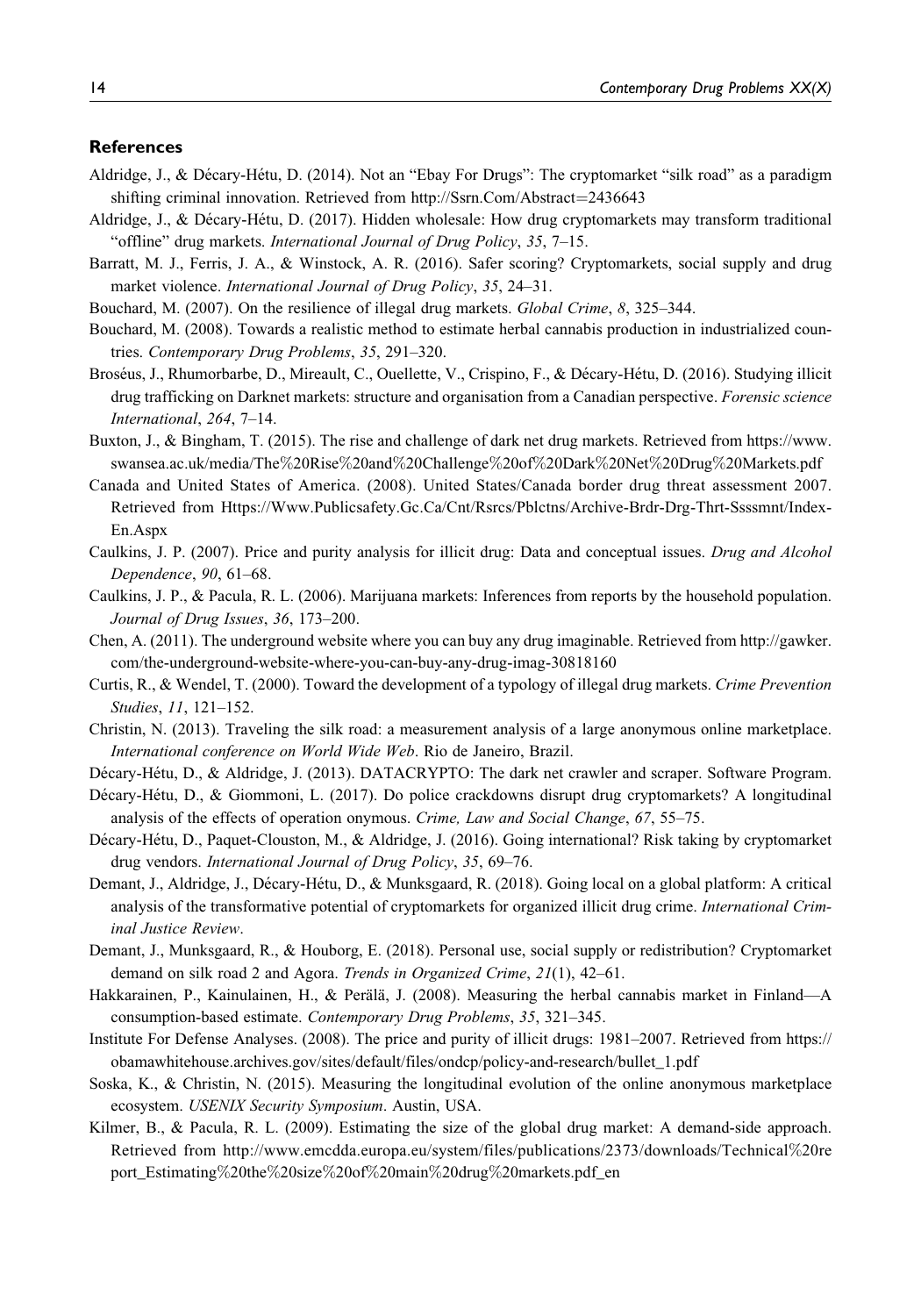#### References

- Aldridge, J., & Décary-Hétu, D. (2014). Not an "Ebay For Drugs": The cryptomarket "silk road" as a paradigm shifting criminal innovation. Retrieved from [http://Ssrn.Com/Abstract](http://Ssrn.Com/Abstract=2436643)=[2436643](http://Ssrn.Com/Abstract=2436643)
- Aldridge, J., & Décary-Hétu, D. (2017). Hidden wholesale: How drug cryptomarkets may transform traditional "offline" drug markets. International Journal of Drug Policy, 35, 7–15.
- Barratt, M. J., Ferris, J. A., & Winstock, A. R. (2016). Safer scoring? Cryptomarkets, social supply and drug market violence. International Journal of Drug Policy, 35, 24–31.
- Bouchard, M. (2007). On the resilience of illegal drug markets. Global Crime, 8, 325–344.
- Bouchard, M. (2008). Towards a realistic method to estimate herbal cannabis production in industrialized countries. Contemporary Drug Problems, 35, 291–320.
- Broséus, J., Rhumorbarbe, D., Mireault, C., Ouellette, V., Crispino, F., & Décary-Hétu, D. (2016). Studying illicit drug trafficking on Darknet markets: structure and organisation from a Canadian perspective. Forensic science International, 264, 7–14.
- Buxton, J., & Bingham, T. (2015). The rise and challenge of dark net drug markets. Retrieved from [https://www.](https://www.swansea.ac.uk/media/The%20Rise%20and%20Challenge%20of%20Dark%20Net%20Drug%20Markets.pdf) [swansea.ac.uk/media/The](https://www.swansea.ac.uk/media/The%20Rise%20and%20Challenge%20of%20Dark%20Net%20Drug%20Markets.pdf)%[20Rise](https://www.swansea.ac.uk/media/The%20Rise%20and%20Challenge%20of%20Dark%20Net%20Drug%20Markets.pdf)%[20and](https://www.swansea.ac.uk/media/The%20Rise%20and%20Challenge%20of%20Dark%20Net%20Drug%20Markets.pdf)%[20Challenge](https://www.swansea.ac.uk/media/The%20Rise%20and%20Challenge%20of%20Dark%20Net%20Drug%20Markets.pdf)%[20of](https://www.swansea.ac.uk/media/The%20Rise%20and%20Challenge%20of%20Dark%20Net%20Drug%20Markets.pdf)%[20Dark](https://www.swansea.ac.uk/media/The%20Rise%20and%20Challenge%20of%20Dark%20Net%20Drug%20Markets.pdf)%[20Net](https://www.swansea.ac.uk/media/The%20Rise%20and%20Challenge%20of%20Dark%20Net%20Drug%20Markets.pdf)%[20Drug](https://www.swansea.ac.uk/media/The%20Rise%20and%20Challenge%20of%20Dark%20Net%20Drug%20Markets.pdf)%[20Markets.pdf](https://www.swansea.ac.uk/media/The%20Rise%20and%20Challenge%20of%20Dark%20Net%20Drug%20Markets.pdf)
- Canada and United States of America. (2008). United States/Canada border drug threat assessment 2007. Retrieved from [Https://Www.Publicsafety.Gc.Ca/Cnt/Rsrcs/Pblctns/Archive-Brdr-Drg-Thrt-Ssssmnt/Index-](http://Https://Www.Publicsafety.Gc.Ca/Cnt/Rsrcs/Pblctns/Archive-Brdr-Drg-Thrt-Ssssmnt/Index-En.Aspx)[En.Aspx](http://Https://Www.Publicsafety.Gc.Ca/Cnt/Rsrcs/Pblctns/Archive-Brdr-Drg-Thrt-Ssssmnt/Index-En.Aspx)
- Caulkins, J. P. (2007). Price and purity analysis for illicit drug: Data and conceptual issues. Drug and Alcohol Dependence, 90, 61–68.
- Caulkins, J. P., & Pacula, R. L. (2006). Marijuana markets: Inferences from reports by the household population. Journal of Drug Issues, 36, 173–200.
- Chen, A. (2011). The underground website where you can buy any drug imaginable. Retrieved from [http://gawker.](http://gawker.com/the-underground-website-where-you-can-buy-any-drug-imag-30818160) [com/the-underground-website-where-you-can-buy-any-drug-imag-30818160](http://gawker.com/the-underground-website-where-you-can-buy-any-drug-imag-30818160)
- Curtis, R., & Wendel, T. (2000). Toward the development of a typology of illegal drug markets. Crime Prevention Studies, 11, 121–152.
- Christin, N. (2013). Traveling the silk road: a measurement analysis of a large anonymous online marketplace. International conference on World Wide Web. Rio de Janeiro, Brazil.
- Décary-Hétu, D., & Aldridge, J. (2013). DATACRYPTO: The dark net crawler and scraper. Software Program.
- Décary-Hétu, D., & Giommoni, L. (2017). Do police crackdowns disrupt drug cryptomarkets? A longitudinal analysis of the effects of operation onymous. Crime, Law and Social Change, 67, 55–75.
- Décary-Hétu, D., Paquet-Clouston, M., & Aldridge, J. (2016). Going international? Risk taking by cryptomarket drug vendors. International Journal of Drug Policy, 35, 69–76.
- Demant, J., Aldridge, J., Décary-Hétu, D., & Munksgaard, R. (2018). Going local on a global platform: A critical analysis of the transformative potential of cryptomarkets for organized illicit drug crime. International Criminal Justice Review.
- Demant, J., Munksgaard, R., & Houborg, E. (2018). Personal use, social supply or redistribution? Cryptomarket demand on silk road 2 and Agora. Trends in Organized Crime, 21(1), 42–61.
- Hakkarainen, P., Kainulainen, H., & Perälä, J. (2008). Measuring the herbal cannabis market in Finland—A consumption-based estimate. Contemporary Drug Problems, 35, 321–345.
- Institute For Defense Analyses. (2008). The price and purity of illicit drugs: 1981–2007. Retrieved from [https://](https://obamawhitehouse.archives.gov/sites/default/files/ondcp/policy-and-research/bullet_1.pdf) [obamawhitehouse.archives.gov/sites/default/files/ondcp/policy-and-research/bullet\\_1.pdf](https://obamawhitehouse.archives.gov/sites/default/files/ondcp/policy-and-research/bullet_1.pdf)
- Soska, K., & Christin, N. (2015). Measuring the longitudinal evolution of the online anonymous marketplace ecosystem. USENIX Security Symposium. Austin, USA.
- Kilmer, B., & Pacula, R. L. (2009). Estimating the size of the global drug market: A demand-side approach. Retrieved from [http://www.emcdda.europa.eu/system/files/publications/2373/downloads/Technical](http://www.emcdda.europa.eu/system/files/publications/2373/downloads/Technical%20report_Estimating%20the%20size%20of%20main%20drug%20markets.pdf_en)%[20re](http://www.emcdda.europa.eu/system/files/publications/2373/downloads/Technical%20report_Estimating%20the%20size%20of%20main%20drug%20markets.pdf_en) [port\\_Estimating](http://www.emcdda.europa.eu/system/files/publications/2373/downloads/Technical%20report_Estimating%20the%20size%20of%20main%20drug%20markets.pdf_en)%[20the](http://www.emcdda.europa.eu/system/files/publications/2373/downloads/Technical%20report_Estimating%20the%20size%20of%20main%20drug%20markets.pdf_en)%[20size](http://www.emcdda.europa.eu/system/files/publications/2373/downloads/Technical%20report_Estimating%20the%20size%20of%20main%20drug%20markets.pdf_en)%[20of](http://www.emcdda.europa.eu/system/files/publications/2373/downloads/Technical%20report_Estimating%20the%20size%20of%20main%20drug%20markets.pdf_en)%[20main](http://www.emcdda.europa.eu/system/files/publications/2373/downloads/Technical%20report_Estimating%20the%20size%20of%20main%20drug%20markets.pdf_en)%[20drug](http://www.emcdda.europa.eu/system/files/publications/2373/downloads/Technical%20report_Estimating%20the%20size%20of%20main%20drug%20markets.pdf_en)%[20markets.pdf\\_en](http://www.emcdda.europa.eu/system/files/publications/2373/downloads/Technical%20report_Estimating%20the%20size%20of%20main%20drug%20markets.pdf_en)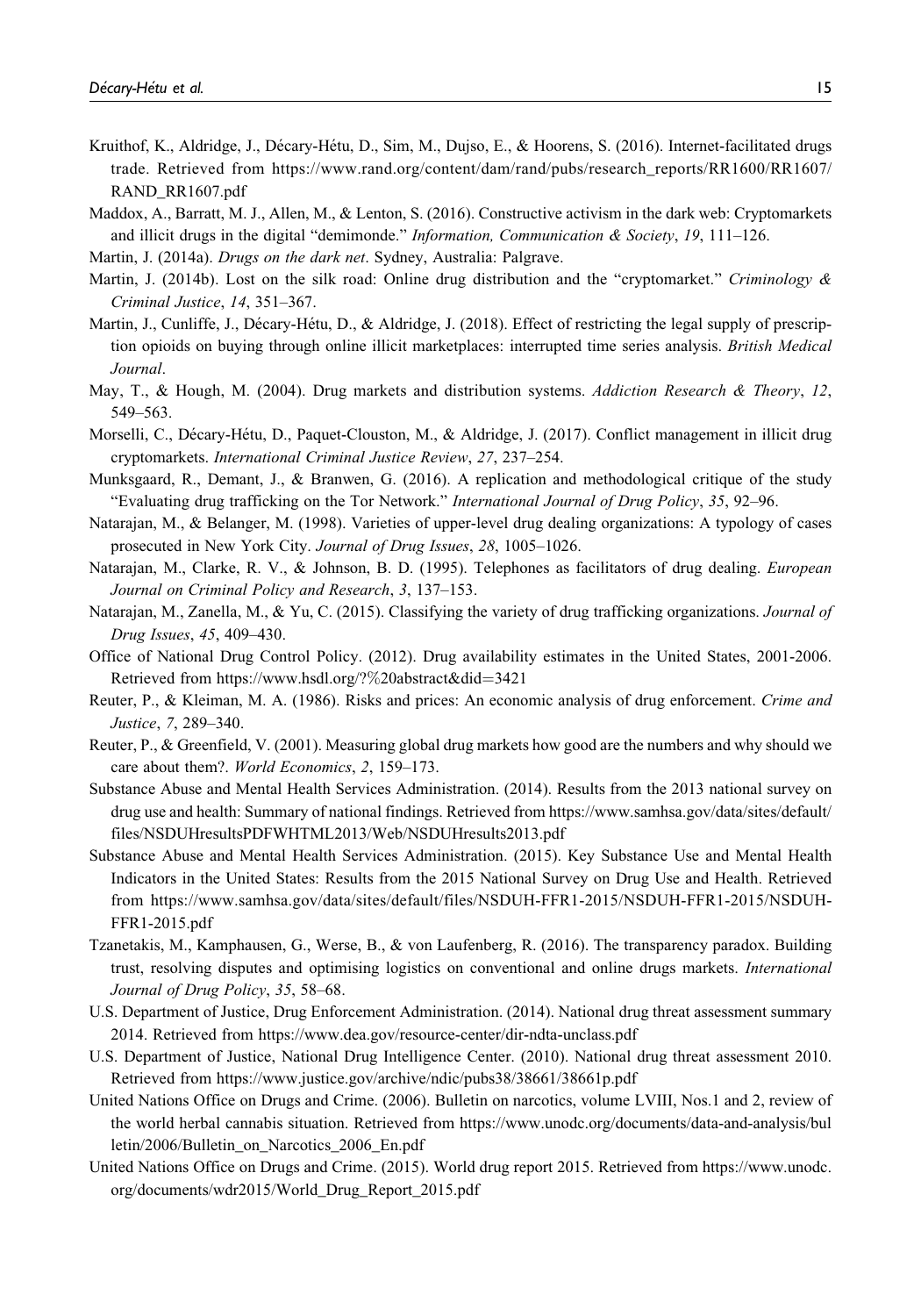- Kruithof, K., Aldridge, J., Décary-Hétu, D., Sim, M., Dujso, E., & Hoorens, S. (2016). Internet-facilitated drugs trade. Retrieved from [https://www.rand.org/content/dam/rand/pubs/research\\_reports/RR1600/RR1607/](https://www.rand.org/content/dam/rand/pubs/research_reports/RR1600/RR1607/RAND_RR1607.pdf) [RAND\\_RR1607.pdf](https://www.rand.org/content/dam/rand/pubs/research_reports/RR1600/RR1607/RAND_RR1607.pdf)
- Maddox, A., Barratt, M. J., Allen, M., & Lenton, S. (2016). Constructive activism in the dark web: Cryptomarkets and illicit drugs in the digital "demimonde." *Information, Communication & Society*,  $19$ ,  $111-126$ .
- Martin, J. (2014a). *Drugs on the dark net*. Sydney, Australia: Palgrave.
- Martin, J. (2014b). Lost on the silk road: Online drug distribution and the "cryptomarket." Criminology  $\&$ Criminal Justice, 14, 351–367.
- Martin, J., Cunliffe, J., Décary-Hétu, D., & Aldridge, J. (2018). Effect of restricting the legal supply of prescription opioids on buying through online illicit marketplaces: interrupted time series analysis. British Medical Journal.
- May, T., & Hough, M. (2004). Drug markets and distribution systems. Addiction Research & Theory, 12, 549–563.
- Morselli, C., Décary-Hétu, D., Paquet-Clouston, M., & Aldridge, J. (2017). Conflict management in illicit drug cryptomarkets. International Criminal Justice Review, 27, 237–254.
- Munksgaard, R., Demant, J., & Branwen, G. (2016). A replication and methodological critique of the study "Evaluating drug trafficking on the Tor Network." International Journal of Drug Policy, 35, 92–96.
- Natarajan, M., & Belanger, M. (1998). Varieties of upper-level drug dealing organizations: A typology of cases prosecuted in New York City. Journal of Drug Issues, 28, 1005-1026.
- Natarajan, M., Clarke, R. V., & Johnson, B. D. (1995). Telephones as facilitators of drug dealing. European Journal on Criminal Policy and Research, 3, 137–153.
- Natarajan, M., Zanella, M., & Yu, C. (2015). Classifying the variety of drug trafficking organizations. Journal of Drug Issues, 45, 409–430.
- Office of National Drug Control Policy. (2012). Drug availability estimates in the United States, 2001-2006. Retrieved from [https://www.hsdl.org/?](https://www.hsdl.org/?%20abstract&did=3421)%[20abstract&did](https://www.hsdl.org/?%20abstract&did=3421)=[3421](https://www.hsdl.org/?%20abstract&did=3421)
- Reuter, P., & Kleiman, M. A. (1986). Risks and prices: An economic analysis of drug enforcement. Crime and Justice, 7, 289–340.
- Reuter, P., & Greenfield, V. (2001). Measuring global drug markets how good are the numbers and why should we care about them?. World Economics, 2, 159–173.
- Substance Abuse and Mental Health Services Administration. (2014). Results from the 2013 national survey on drug use and health: Summary of national findings. Retrieved from [https://www.samhsa.gov/data/sites/default/](https://www.samhsa.gov/data/sites/default/files/NSDUHresultsPDFWHTML2013/Web/NSDUHresults2013.pdf) [files/NSDUHresultsPDFWHTML2013/Web/NSDUHresults2013.pdf](https://www.samhsa.gov/data/sites/default/files/NSDUHresultsPDFWHTML2013/Web/NSDUHresults2013.pdf)
- Substance Abuse and Mental Health Services Administration. (2015). Key Substance Use and Mental Health Indicators in the United States: Results from the 2015 National Survey on Drug Use and Health. Retrieved from [https://www.samhsa.gov/data/sites/default/files/NSDUH-FFR1-2015/NSDUH-FFR1-2015/NSDUH-](https://www.samhsa.gov/data/sites/default/files/NSDUH-FFR1-2015/NSDUH-FFR1-2015/NSDUH-FFR1-2015.pdf)[FFR1-2015.pdf](https://www.samhsa.gov/data/sites/default/files/NSDUH-FFR1-2015/NSDUH-FFR1-2015/NSDUH-FFR1-2015.pdf)
- Tzanetakis, M., Kamphausen, G., Werse, B., & von Laufenberg, R. (2016). The transparency paradox. Building trust, resolving disputes and optimising logistics on conventional and online drugs markets. International Journal of Drug Policy, 35, 58–68.
- U.S. Department of Justice, Drug Enforcement Administration. (2014). National drug threat assessment summary 2014. Retrieved from<https://www.dea.gov/resource-center/dir-ndta-unclass.pdf>
- U.S. Department of Justice, National Drug Intelligence Center. (2010). National drug threat assessment 2010. Retrieved from<https://www.justice.gov/archive/ndic/pubs38/38661/38661p.pdf>
- United Nations Office on Drugs and Crime. (2006). Bulletin on narcotics, volume LVIII, Nos.1 and 2, review of the world herbal cannabis situation. Retrieved from [https://www.unodc.org/documents/data-and-analysis/bul](https://www.unodc.org/documents/data-and-analysis/bulletin/2006/Bulletin_on_Narcotics_2006_En.pdf) [letin/2006/Bulletin\\_on\\_Narcotics\\_2006\\_En.pdf](https://www.unodc.org/documents/data-and-analysis/bulletin/2006/Bulletin_on_Narcotics_2006_En.pdf)
- United Nations Office on Drugs and Crime. (2015). World drug report 2015. Retrieved from [https://www.unodc.](https://www.unodc.org/documents/wdr2015/World_Drug_Report_2015.pdf) [org/documents/wdr2015/World\\_Drug\\_Report\\_2015.pdf](https://www.unodc.org/documents/wdr2015/World_Drug_Report_2015.pdf)